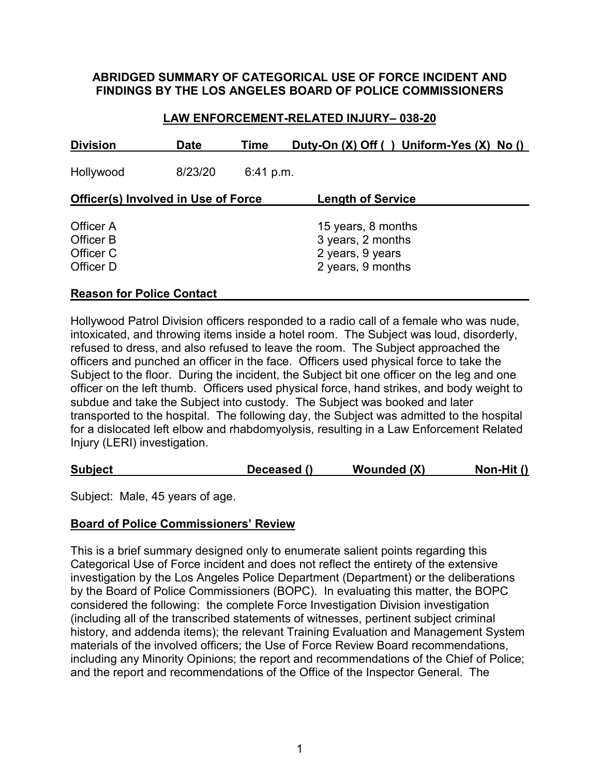## **ABRIDGED SUMMARY OF CATEGORICAL USE OF FORCE INCIDENT AND FINDINGS BY THE LOS ANGELES BOARD OF POLICE COMMISSIONERS**

## **LAW ENFORCEMENT-RELATED INJURY– 038-20**

| <b>Division</b>                                  | <b>Date</b> | Time      | Duty-On (X) Off () Uniform-Yes (X) No ()                                         |
|--------------------------------------------------|-------------|-----------|----------------------------------------------------------------------------------|
| Hollywood                                        | 8/23/20     | 6:41 p.m. |                                                                                  |
| <b>Officer(s) Involved in Use of Force</b>       |             |           | <b>Length of Service</b>                                                         |
| Officer A<br>Officer B<br>Officer C<br>Officer D |             |           | 15 years, 8 months<br>3 years, 2 months<br>2 years, 9 years<br>2 years, 9 months |

## **Reason for Police Contact**

Hollywood Patrol Division officers responded to a radio call of a female who was nude, intoxicated, and throwing items inside a hotel room. The Subject was loud, disorderly, refused to dress, and also refused to leave the room. The Subject approached the officers and punched an officer in the face. Officers used physical force to take the Subject to the floor. During the incident, the Subject bit one officer on the leg and one officer on the left thumb. Officers used physical force, hand strikes, and body weight to subdue and take the Subject into custody. The Subject was booked and later transported to the hospital. The following day, the Subject was admitted to the hospital for a dislocated left elbow and rhabdomyolysis, resulting in a Law Enforcement Related Injury (LERI) investigation.

| <b>Subject</b><br>Wounded (X)<br>Deceased () | Non-Hit $()$ |
|----------------------------------------------|--------------|
|----------------------------------------------|--------------|

Subject: Male, 45 years of age.

### **Board of Police Commissioners' Review**

This is a brief summary designed only to enumerate salient points regarding this Categorical Use of Force incident and does not reflect the entirety of the extensive investigation by the Los Angeles Police Department (Department) or the deliberations by the Board of Police Commissioners (BOPC). In evaluating this matter, the BOPC considered the following: the complete Force Investigation Division investigation (including all of the transcribed statements of witnesses, pertinent subject criminal history, and addenda items); the relevant Training Evaluation and Management System materials of the involved officers; the Use of Force Review Board recommendations, including any Minority Opinions; the report and recommendations of the Chief of Police; and the report and recommendations of the Office of the Inspector General. The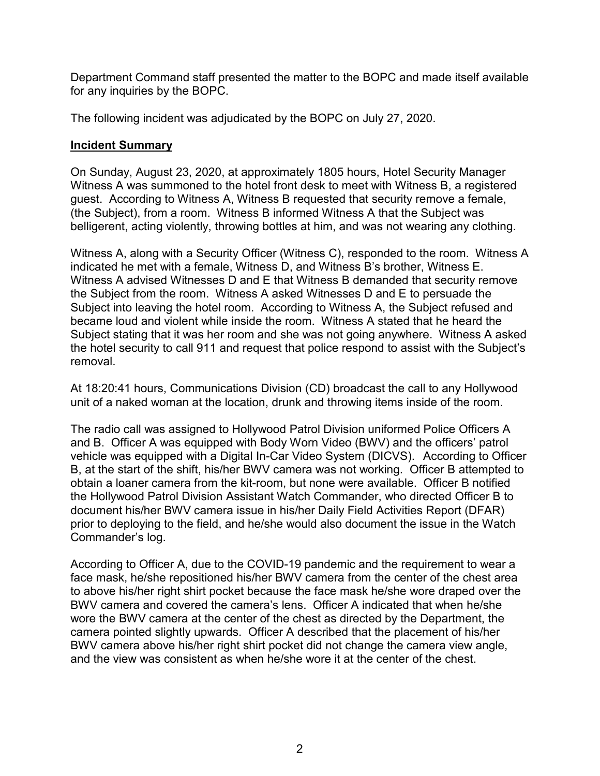Department Command staff presented the matter to the BOPC and made itself available for any inquiries by the BOPC.

The following incident was adjudicated by the BOPC on July 27, 2020.

## **Incident Summary**

On Sunday, August 23, 2020, at approximately 1805 hours, Hotel Security Manager Witness A was summoned to the hotel front desk to meet with Witness B, a registered guest. According to Witness A, Witness B requested that security remove a female, (the Subject), from a room. Witness B informed Witness A that the Subject was belligerent, acting violently, throwing bottles at him, and was not wearing any clothing.

Witness A, along with a Security Officer (Witness C), responded to the room. Witness A indicated he met with a female, Witness D, and Witness B's brother, Witness E. Witness A advised Witnesses D and E that Witness B demanded that security remove the Subject from the room. Witness A asked Witnesses D and E to persuade the Subject into leaving the hotel room. According to Witness A, the Subject refused and became loud and violent while inside the room. Witness A stated that he heard the Subject stating that it was her room and she was not going anywhere. Witness A asked the hotel security to call 911 and request that police respond to assist with the Subject's removal.

At 18:20:41 hours, Communications Division (CD) broadcast the call to any Hollywood unit of a naked woman at the location, drunk and throwing items inside of the room.

The radio call was assigned to Hollywood Patrol Division uniformed Police Officers A and B. Officer A was equipped with Body Worn Video (BWV) and the officers' patrol vehicle was equipped with a Digital In-Car Video System (DICVS). According to Officer B, at the start of the shift, his/her BWV camera was not working. Officer B attempted to obtain a loaner camera from the kit-room, but none were available. Officer B notified the Hollywood Patrol Division Assistant Watch Commander, who directed Officer B to document his/her BWV camera issue in his/her Daily Field Activities Report (DFAR) prior to deploying to the field, and he/she would also document the issue in the Watch Commander's log.

According to Officer A, due to the COVID-19 pandemic and the requirement to wear a face mask, he/she repositioned his/her BWV camera from the center of the chest area to above his/her right shirt pocket because the face mask he/she wore draped over the BWV camera and covered the camera's lens. Officer A indicated that when he/she wore the BWV camera at the center of the chest as directed by the Department, the camera pointed slightly upwards. Officer A described that the placement of his/her BWV camera above his/her right shirt pocket did not change the camera view angle, and the view was consistent as when he/she wore it at the center of the chest.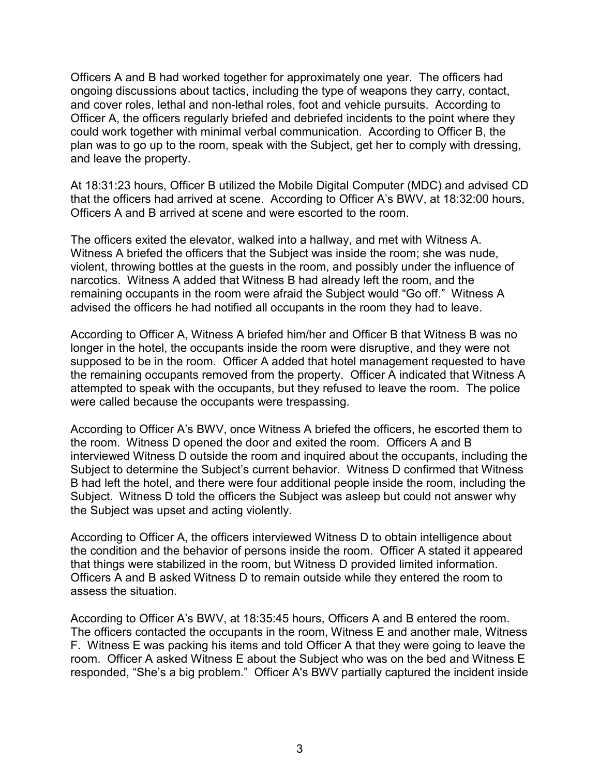Officers A and B had worked together for approximately one year. The officers had ongoing discussions about tactics, including the type of weapons they carry, contact, and cover roles, lethal and non-lethal roles, foot and vehicle pursuits. According to Officer A, the officers regularly briefed and debriefed incidents to the point where they could work together with minimal verbal communication. According to Officer B, the plan was to go up to the room, speak with the Subject, get her to comply with dressing, and leave the property.

At 18:31:23 hours, Officer B utilized the Mobile Digital Computer (MDC) and advised CD that the officers had arrived at scene. According to Officer A's BWV, at 18:32:00 hours, Officers A and B arrived at scene and were escorted to the room.

The officers exited the elevator, walked into a hallway, and met with Witness A. Witness A briefed the officers that the Subject was inside the room; she was nude, violent, throwing bottles at the guests in the room, and possibly under the influence of narcotics. Witness A added that Witness B had already left the room, and the remaining occupants in the room were afraid the Subject would "Go off." Witness A advised the officers he had notified all occupants in the room they had to leave.

According to Officer A, Witness A briefed him/her and Officer B that Witness B was no longer in the hotel, the occupants inside the room were disruptive, and they were not supposed to be in the room. Officer A added that hotel management requested to have the remaining occupants removed from the property. Officer A indicated that Witness A attempted to speak with the occupants, but they refused to leave the room. The police were called because the occupants were trespassing.

According to Officer A's BWV, once Witness A briefed the officers, he escorted them to the room. Witness D opened the door and exited the room. Officers A and B interviewed Witness D outside the room and inquired about the occupants, including the Subject to determine the Subject's current behavior. Witness D confirmed that Witness B had left the hotel, and there were four additional people inside the room, including the Subject. Witness D told the officers the Subject was asleep but could not answer why the Subject was upset and acting violently.

According to Officer A, the officers interviewed Witness D to obtain intelligence about the condition and the behavior of persons inside the room. Officer A stated it appeared that things were stabilized in the room, but Witness D provided limited information. Officers A and B asked Witness D to remain outside while they entered the room to assess the situation.

According to Officer A's BWV, at 18:35:45 hours, Officers A and B entered the room. The officers contacted the occupants in the room, Witness E and another male, Witness F. Witness E was packing his items and told Officer A that they were going to leave the room. Officer A asked Witness E about the Subject who was on the bed and Witness E responded, "She's a big problem." Officer A's BWV partially captured the incident inside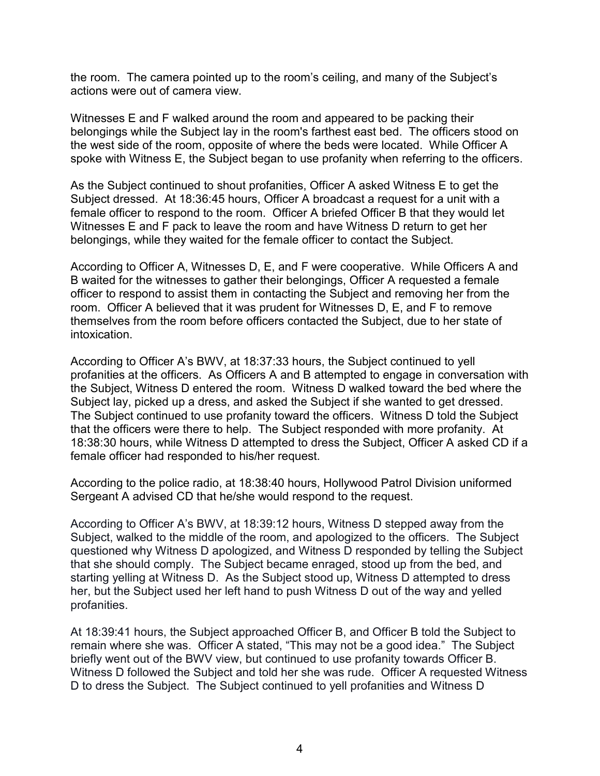the room. The camera pointed up to the room's ceiling, and many of the Subject's actions were out of camera view.

Witnesses E and F walked around the room and appeared to be packing their belongings while the Subject lay in the room's farthest east bed. The officers stood on the west side of the room, opposite of where the beds were located. While Officer A spoke with Witness E, the Subject began to use profanity when referring to the officers.

As the Subject continued to shout profanities, Officer A asked Witness E to get the Subject dressed. At 18:36:45 hours, Officer A broadcast a request for a unit with a female officer to respond to the room. Officer A briefed Officer B that they would let Witnesses E and F pack to leave the room and have Witness D return to get her belongings, while they waited for the female officer to contact the Subject.

According to Officer A, Witnesses D, E, and F were cooperative. While Officers A and B waited for the witnesses to gather their belongings, Officer A requested a female officer to respond to assist them in contacting the Subject and removing her from the room. Officer A believed that it was prudent for Witnesses D, E, and F to remove themselves from the room before officers contacted the Subject, due to her state of intoxication.

According to Officer A's BWV, at 18:37:33 hours, the Subject continued to yell profanities at the officers. As Officers A and B attempted to engage in conversation with the Subject, Witness D entered the room. Witness D walked toward the bed where the Subject lay, picked up a dress, and asked the Subject if she wanted to get dressed. The Subject continued to use profanity toward the officers. Witness D told the Subject that the officers were there to help. The Subject responded with more profanity. At 18:38:30 hours, while Witness D attempted to dress the Subject, Officer A asked CD if a female officer had responded to his/her request.

According to the police radio, at 18:38:40 hours, Hollywood Patrol Division uniformed Sergeant A advised CD that he/she would respond to the request.

According to Officer A's BWV, at 18:39:12 hours, Witness D stepped away from the Subject, walked to the middle of the room, and apologized to the officers. The Subject questioned why Witness D apologized, and Witness D responded by telling the Subject that she should comply. The Subject became enraged, stood up from the bed, and starting yelling at Witness D. As the Subject stood up, Witness D attempted to dress her, but the Subject used her left hand to push Witness D out of the way and yelled profanities.

At 18:39:41 hours, the Subject approached Officer B, and Officer B told the Subject to remain where she was. Officer A stated, "This may not be a good idea." The Subject briefly went out of the BWV view, but continued to use profanity towards Officer B. Witness D followed the Subject and told her she was rude. Officer A requested Witness D to dress the Subject. The Subject continued to yell profanities and Witness D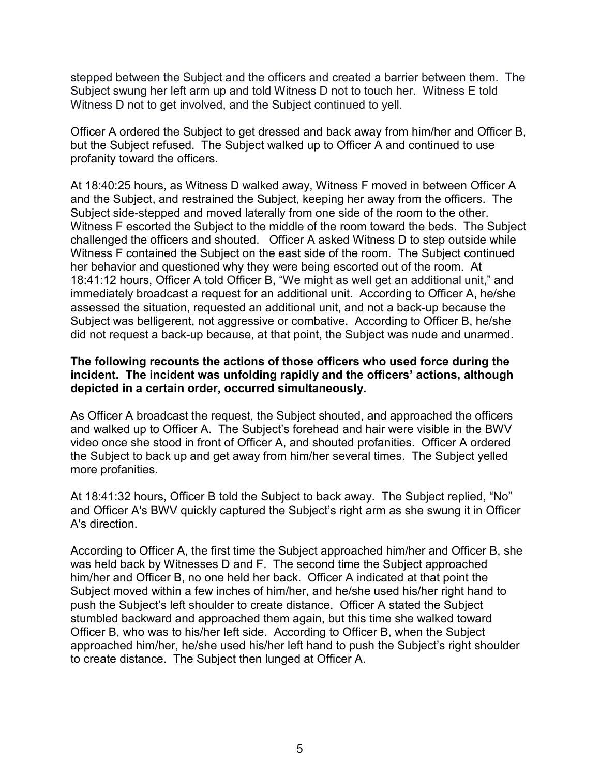stepped between the Subject and the officers and created a barrier between them. The Subject swung her left arm up and told Witness D not to touch her. Witness E told Witness D not to get involved, and the Subject continued to yell.

Officer A ordered the Subject to get dressed and back away from him/her and Officer B, but the Subject refused. The Subject walked up to Officer A and continued to use profanity toward the officers.

At 18:40:25 hours, as Witness D walked away, Witness F moved in between Officer A and the Subject, and restrained the Subject, keeping her away from the officers. The Subject side-stepped and moved laterally from one side of the room to the other. Witness F escorted the Subject to the middle of the room toward the beds. The Subject challenged the officers and shouted. Officer A asked Witness D to step outside while Witness F contained the Subject on the east side of the room. The Subject continued her behavior and questioned why they were being escorted out of the room. At 18:41:12 hours, Officer A told Officer B, "We might as well get an additional unit," and immediately broadcast a request for an additional unit. According to Officer A, he/she assessed the situation, requested an additional unit, and not a back-up because the Subject was belligerent, not aggressive or combative. According to Officer B, he/she did not request a back-up because, at that point, the Subject was nude and unarmed.

## **The following recounts the actions of those officers who used force during the incident. The incident was unfolding rapidly and the officers' actions, although depicted in a certain order, occurred simultaneously.**

As Officer A broadcast the request, the Subject shouted, and approached the officers and walked up to Officer A. The Subject's forehead and hair were visible in the BWV video once she stood in front of Officer A, and shouted profanities. Officer A ordered the Subject to back up and get away from him/her several times. The Subject yelled more profanities.

At 18:41:32 hours, Officer B told the Subject to back away. The Subject replied, "No" and Officer A's BWV quickly captured the Subject's right arm as she swung it in Officer A's direction.

According to Officer A, the first time the Subject approached him/her and Officer B, she was held back by Witnesses D and F. The second time the Subject approached him/her and Officer B, no one held her back. Officer A indicated at that point the Subject moved within a few inches of him/her, and he/she used his/her right hand to push the Subject's left shoulder to create distance. Officer A stated the Subject stumbled backward and approached them again, but this time she walked toward Officer B, who was to his/her left side. According to Officer B, when the Subject approached him/her, he/she used his/her left hand to push the Subject's right shoulder to create distance. The Subject then lunged at Officer A.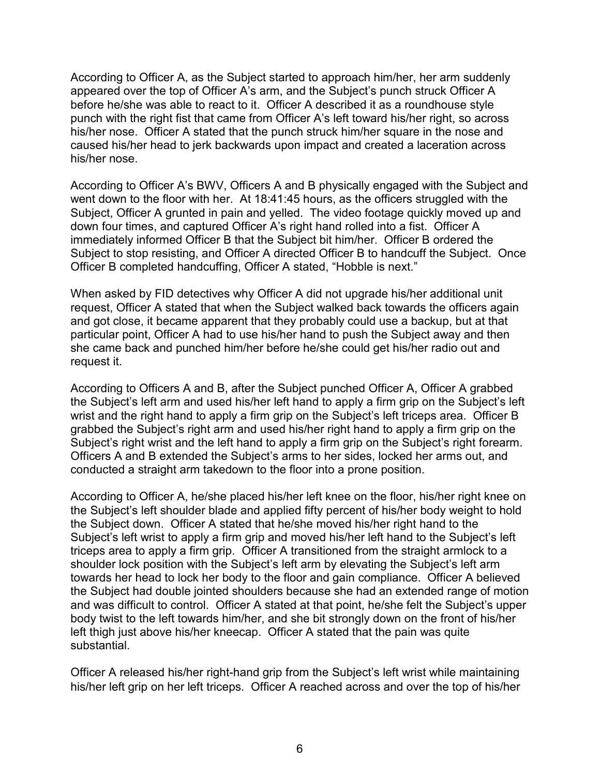According to Officer A, as the Subject started to approach him/her, her arm suddenly appeared over the top of Officer A's arm, and the Subject's punch struck Officer A before he/she was able to react to it. Officer A described it as a roundhouse style punch with the right fist that came from Officer A's left toward his/her right, so across his/her nose. Officer A stated that the punch struck him/her square in the nose and caused his/her head to jerk backwards upon impact and created a laceration across his/her nose.

According to Officer A's BWV, Officers A and B physically engaged with the Subject and went down to the floor with her. At 18:41:45 hours, as the officers struggled with the Subject, Officer A grunted in pain and yelled. The video footage quickly moved up and down four times, and captured Officer A's right hand rolled into a fist. Officer A immediately informed Officer B that the Subject bit him/her. Officer B ordered the Subject to stop resisting, and Officer A directed Officer B to handcuff the Subject. Once Officer B completed handcuffing, Officer A stated, "Hobble is next."

When asked by FID detectives why Officer A did not upgrade his/her additional unit request, Officer A stated that when the Subject walked back towards the officers again and got close, it became apparent that they probably could use a backup, but at that particular point, Officer A had to use his/her hand to push the Subject away and then she came back and punched him/her before he/she could get his/her radio out and request it.

According to Officers A and B, after the Subject punched Officer A, Officer A grabbed the Subject's left arm and used his/her left hand to apply a firm grip on the Subject's left wrist and the right hand to apply a firm grip on the Subject's left triceps area. Officer B grabbed the Subject's right arm and used his/her right hand to apply a firm grip on the Subject's right wrist and the left hand to apply a firm grip on the Subject's right forearm. Officers A and B extended the Subject's arms to her sides, locked her arms out, and conducted a straight arm takedown to the floor into a prone position.

According to Officer A, he/she placed his/her left knee on the floor, his/her right knee on the Subject's left shoulder blade and applied fifty percent of his/her body weight to hold the Subject down. Officer A stated that he/she moved his/her right hand to the Subject's left wrist to apply a firm grip and moved his/her left hand to the Subject's left triceps area to apply a firm grip. Officer A transitioned from the straight armlock to a shoulder lock position with the Subject's left arm by elevating the Subject's left arm towards her head to lock her body to the floor and gain compliance. Officer A believed the Subject had double jointed shoulders because she had an extended range of motion and was difficult to control. Officer A stated at that point, he/she felt the Subject's upper body twist to the left towards him/her, and she bit strongly down on the front of his/her left thigh just above his/her kneecap. Officer A stated that the pain was quite substantial.

Officer A released his/her right-hand grip from the Subject's left wrist while maintaining his/her left grip on her left triceps. Officer A reached across and over the top of his/her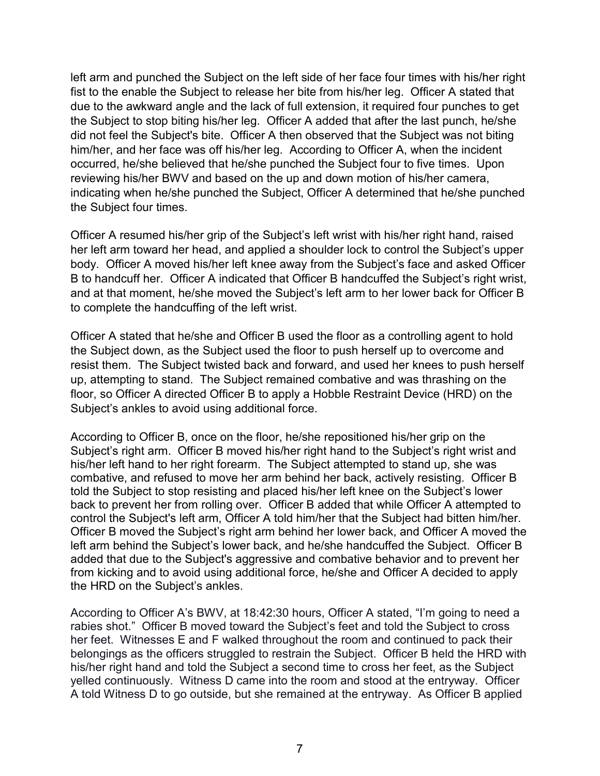left arm and punched the Subject on the left side of her face four times with his/her right fist to the enable the Subject to release her bite from his/her leg. Officer A stated that due to the awkward angle and the lack of full extension, it required four punches to get the Subject to stop biting his/her leg. Officer A added that after the last punch, he/she did not feel the Subject's bite. Officer A then observed that the Subject was not biting him/her, and her face was off his/her leg. According to Officer A, when the incident occurred, he/she believed that he/she punched the Subject four to five times. Upon reviewing his/her BWV and based on the up and down motion of his/her camera, indicating when he/she punched the Subject, Officer A determined that he/she punched the Subject four times.

Officer A resumed his/her grip of the Subject's left wrist with his/her right hand, raised her left arm toward her head, and applied a shoulder lock to control the Subject's upper body. Officer A moved his/her left knee away from the Subject's face and asked Officer B to handcuff her. Officer A indicated that Officer B handcuffed the Subject's right wrist, and at that moment, he/she moved the Subject's left arm to her lower back for Officer B to complete the handcuffing of the left wrist.

Officer A stated that he/she and Officer B used the floor as a controlling agent to hold the Subject down, as the Subject used the floor to push herself up to overcome and resist them. The Subject twisted back and forward, and used her knees to push herself up, attempting to stand. The Subject remained combative and was thrashing on the floor, so Officer A directed Officer B to apply a Hobble Restraint Device (HRD) on the Subject's ankles to avoid using additional force.

According to Officer B, once on the floor, he/she repositioned his/her grip on the Subject's right arm. Officer B moved his/her right hand to the Subject's right wrist and his/her left hand to her right forearm. The Subject attempted to stand up, she was combative, and refused to move her arm behind her back, actively resisting. Officer B told the Subject to stop resisting and placed his/her left knee on the Subject's lower back to prevent her from rolling over. Officer B added that while Officer A attempted to control the Subject's left arm, Officer A told him/her that the Subject had bitten him/her. Officer B moved the Subject's right arm behind her lower back, and Officer A moved the left arm behind the Subject's lower back, and he/she handcuffed the Subject. Officer B added that due to the Subject's aggressive and combative behavior and to prevent her from kicking and to avoid using additional force, he/she and Officer A decided to apply the HRD on the Subject's ankles.

According to Officer A's BWV, at 18:42:30 hours, Officer A stated, "I'm going to need a rabies shot." Officer B moved toward the Subject's feet and told the Subject to cross her feet. Witnesses E and F walked throughout the room and continued to pack their belongings as the officers struggled to restrain the Subject. Officer B held the HRD with his/her right hand and told the Subject a second time to cross her feet, as the Subject yelled continuously. Witness D came into the room and stood at the entryway. Officer A told Witness D to go outside, but she remained at the entryway. As Officer B applied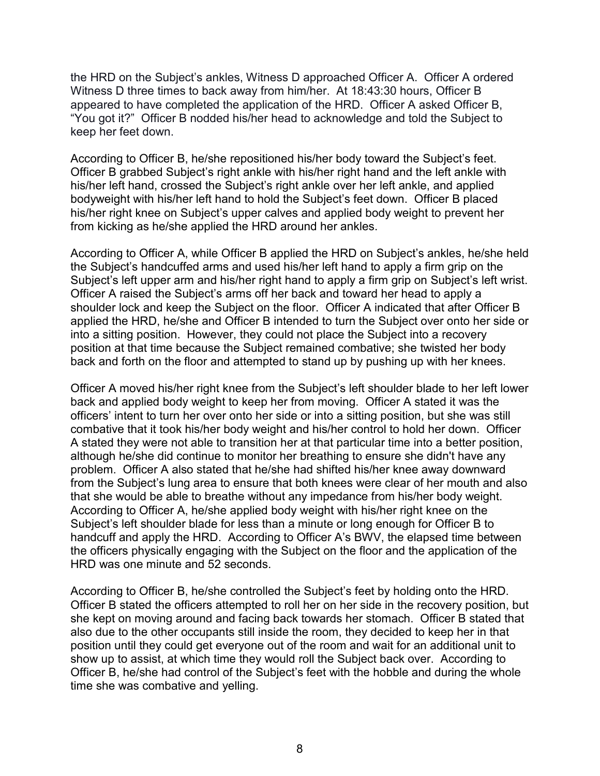the HRD on the Subject's ankles, Witness D approached Officer A. Officer A ordered Witness D three times to back away from him/her. At 18:43:30 hours, Officer B appeared to have completed the application of the HRD. Officer A asked Officer B, "You got it?" Officer B nodded his/her head to acknowledge and told the Subject to keep her feet down.

According to Officer B, he/she repositioned his/her body toward the Subject's feet. Officer B grabbed Subject's right ankle with his/her right hand and the left ankle with his/her left hand, crossed the Subject's right ankle over her left ankle, and applied bodyweight with his/her left hand to hold the Subject's feet down. Officer B placed his/her right knee on Subject's upper calves and applied body weight to prevent her from kicking as he/she applied the HRD around her ankles.

According to Officer A, while Officer B applied the HRD on Subject's ankles, he/she held the Subject's handcuffed arms and used his/her left hand to apply a firm grip on the Subject's left upper arm and his/her right hand to apply a firm grip on Subject's left wrist. Officer A raised the Subject's arms off her back and toward her head to apply a shoulder lock and keep the Subject on the floor. Officer A indicated that after Officer B applied the HRD, he/she and Officer B intended to turn the Subject over onto her side or into a sitting position. However, they could not place the Subject into a recovery position at that time because the Subject remained combative; she twisted her body back and forth on the floor and attempted to stand up by pushing up with her knees.

Officer A moved his/her right knee from the Subject's left shoulder blade to her left lower back and applied body weight to keep her from moving. Officer A stated it was the officers' intent to turn her over onto her side or into a sitting position, but she was still combative that it took his/her body weight and his/her control to hold her down. Officer A stated they were not able to transition her at that particular time into a better position, although he/she did continue to monitor her breathing to ensure she didn't have any problem. Officer A also stated that he/she had shifted his/her knee away downward from the Subject's lung area to ensure that both knees were clear of her mouth and also that she would be able to breathe without any impedance from his/her body weight. According to Officer A, he/she applied body weight with his/her right knee on the Subject's left shoulder blade for less than a minute or long enough for Officer B to handcuff and apply the HRD. According to Officer A's BWV, the elapsed time between the officers physically engaging with the Subject on the floor and the application of the HRD was one minute and 52 seconds.

According to Officer B, he/she controlled the Subject's feet by holding onto the HRD. Officer B stated the officers attempted to roll her on her side in the recovery position, but she kept on moving around and facing back towards her stomach. Officer B stated that also due to the other occupants still inside the room, they decided to keep her in that position until they could get everyone out of the room and wait for an additional unit to show up to assist, at which time they would roll the Subject back over. According to Officer B, he/she had control of the Subject's feet with the hobble and during the whole time she was combative and yelling.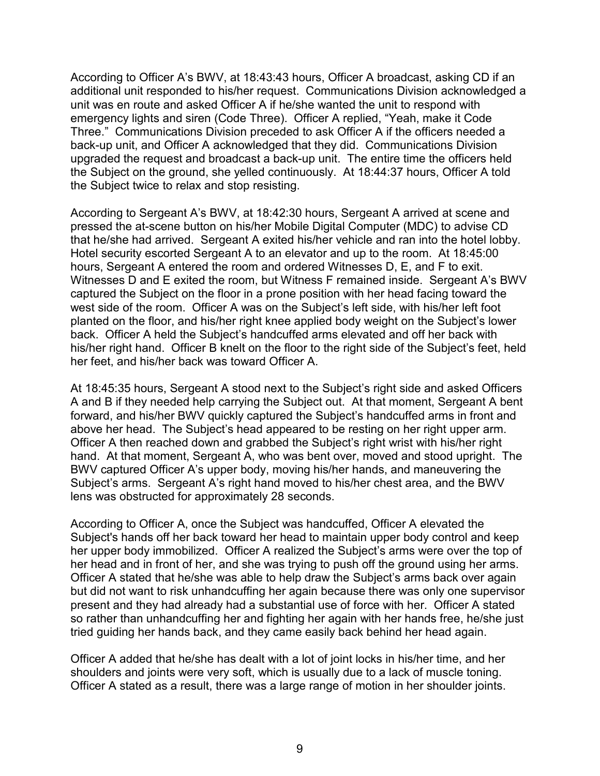According to Officer A's BWV, at 18:43:43 hours, Officer A broadcast, asking CD if an additional unit responded to his/her request. Communications Division acknowledged a unit was en route and asked Officer A if he/she wanted the unit to respond with emergency lights and siren (Code Three). Officer A replied, "Yeah, make it Code Three."Communications Division preceded to ask Officer A if the officers needed a back-up unit, and Officer A acknowledged that they did. Communications Division upgraded the request and broadcast a back-up unit. The entire time the officers held the Subject on the ground, she yelled continuously. At 18:44:37 hours, Officer A told the Subject twice to relax and stop resisting.

According to Sergeant A's BWV, at 18:42:30 hours, Sergeant A arrived at scene and pressed the at-scene button on his/her Mobile Digital Computer (MDC) to advise CD that he/she had arrived. Sergeant A exited his/her vehicle and ran into the hotel lobby. Hotel security escorted Sergeant A to an elevator and up to the room. At 18:45:00 hours, Sergeant A entered the room and ordered Witnesses D, E, and F to exit. Witnesses D and E exited the room, but Witness F remained inside. Sergeant A's BWV captured the Subject on the floor in a prone position with her head facing toward the west side of the room. Officer A was on the Subject's left side, with his/her left foot planted on the floor, and his/her right knee applied body weight on the Subject's lower back. Officer A held the Subject's handcuffed arms elevated and off her back with his/her right hand. Officer B knelt on the floor to the right side of the Subject's feet, held her feet, and his/her back was toward Officer A.

At 18:45:35 hours, Sergeant A stood next to the Subject's right side and asked Officers A and B if they needed help carrying the Subject out. At that moment, Sergeant A bent forward, and his/her BWV quickly captured the Subject's handcuffed arms in front and above her head. The Subject's head appeared to be resting on her right upper arm. Officer A then reached down and grabbed the Subject's right wrist with his/her right hand. At that moment, Sergeant A, who was bent over, moved and stood upright. The BWV captured Officer A's upper body, moving his/her hands, and maneuvering the Subject's arms. Sergeant A's right hand moved to his/her chest area, and the BWV lens was obstructed for approximately 28 seconds.

According to Officer A, once the Subject was handcuffed, Officer A elevated the Subject's hands off her back toward her head to maintain upper body control and keep her upper body immobilized. Officer A realized the Subject's arms were over the top of her head and in front of her, and she was trying to push off the ground using her arms. Officer A stated that he/she was able to help draw the Subject's arms back over again but did not want to risk unhandcuffing her again because there was only one supervisor present and they had already had a substantial use of force with her. Officer A stated so rather than unhandcuffing her and fighting her again with her hands free, he/she just tried guiding her hands back, and they came easily back behind her head again.

Officer A added that he/she has dealt with a lot of joint locks in his/her time, and her shoulders and joints were very soft, which is usually due to a lack of muscle toning. Officer A stated as a result, there was a large range of motion in her shoulder joints.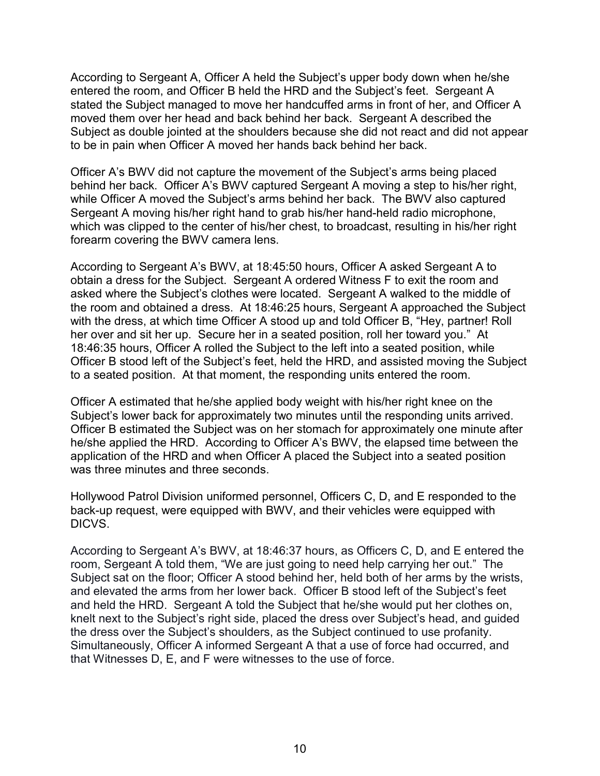According to Sergeant A, Officer A held the Subject's upper body down when he/she entered the room, and Officer B held the HRD and the Subject's feet. Sergeant A stated the Subject managed to move her handcuffed arms in front of her, and Officer A moved them over her head and back behind her back. Sergeant A described the Subject as double jointed at the shoulders because she did not react and did not appear to be in pain when Officer A moved her hands back behind her back.

Officer A's BWV did not capture the movement of the Subject's arms being placed behind her back. Officer A's BWV captured Sergeant A moving a step to his/her right, while Officer A moved the Subject's arms behind her back. The BWV also captured Sergeant A moving his/her right hand to grab his/her hand-held radio microphone, which was clipped to the center of his/her chest, to broadcast, resulting in his/her right forearm covering the BWV camera lens.

According to Sergeant A's BWV, at 18:45:50 hours, Officer A asked Sergeant A to obtain a dress for the Subject. Sergeant A ordered Witness F to exit the room and asked where the Subject's clothes were located. Sergeant A walked to the middle of the room and obtained a dress. At 18:46:25 hours, Sergeant A approached the Subject with the dress, at which time Officer A stood up and told Officer B, "Hey, partner! Roll her over and sit her up. Secure her in a seated position, roll her toward you." At 18:46:35 hours, Officer A rolled the Subject to the left into a seated position, while Officer B stood left of the Subject's feet, held the HRD, and assisted moving the Subject to a seated position. At that moment, the responding units entered the room.

Officer A estimated that he/she applied body weight with his/her right knee on the Subject's lower back for approximately two minutes until the responding units arrived. Officer B estimated the Subject was on her stomach for approximately one minute after he/she applied the HRD. According to Officer A's BWV, the elapsed time between the application of the HRD and when Officer A placed the Subject into a seated position was three minutes and three seconds.

Hollywood Patrol Division uniformed personnel, Officers C, D, and E responded to the back-up request, were equipped with BWV, and their vehicles were equipped with DICVS.

According to Sergeant A's BWV, at 18:46:37 hours, as Officers C, D, and E entered the room, Sergeant A told them, "We are just going to need help carrying her out."The Subject sat on the floor; Officer A stood behind her, held both of her arms by the wrists, and elevated the arms from her lower back. Officer B stood left of the Subject's feet and held the HRD. Sergeant A told the Subject that he/she would put her clothes on, knelt next to the Subject's right side, placed the dress over Subject's head, and guided the dress over the Subject's shoulders, as the Subject continued to use profanity. Simultaneously, Officer A informed Sergeant A that a use of force had occurred, and that Witnesses D, E, and F were witnesses to the use of force.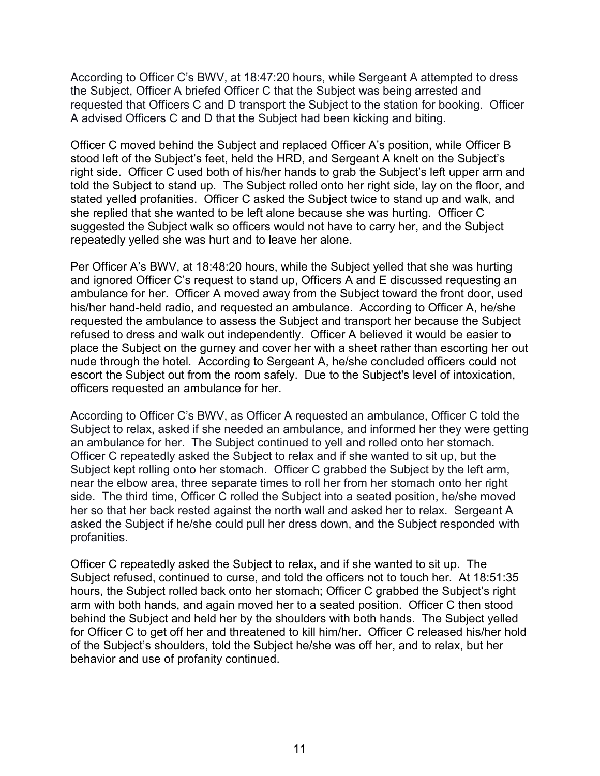According to Officer C's BWV, at 18:47:20 hours, while Sergeant A attempted to dress the Subject, Officer A briefed Officer C that the Subject was being arrested and requested that Officers C and D transport the Subject to the station for booking. Officer A advised Officers C and D that the Subject had been kicking and biting.

Officer C moved behind the Subject and replaced Officer A's position, while Officer B stood left of the Subject's feet, held the HRD, and Sergeant A knelt on the Subject's right side. Officer C used both of his/her hands to grab the Subject's left upper arm and told the Subject to stand up. The Subject rolled onto her right side, lay on the floor, and stated yelled profanities. Officer C asked the Subject twice to stand up and walk, and she replied that she wanted to be left alone because she was hurting. Officer C suggested the Subject walk so officers would not have to carry her, and the Subject repeatedly yelled she was hurt and to leave her alone.

Per Officer A's BWV, at 18:48:20 hours, while the Subject yelled that she was hurting and ignored Officer C's request to stand up, Officers A and E discussed requesting an ambulance for her. Officer A moved away from the Subject toward the front door, used his/her hand-held radio, and requested an ambulance. According to Officer A, he/she requested the ambulance to assess the Subject and transport her because the Subject refused to dress and walk out independently. Officer A believed it would be easier to place the Subject on the gurney and cover her with a sheet rather than escorting her out nude through the hotel. According to Sergeant A, he/she concluded officers could not escort the Subject out from the room safely. Due to the Subject's level of intoxication, officers requested an ambulance for her.

According to Officer C's BWV, as Officer A requested an ambulance, Officer C told the Subject to relax, asked if she needed an ambulance, and informed her they were getting an ambulance for her. The Subject continued to yell and rolled onto her stomach. Officer C repeatedly asked the Subject to relax and if she wanted to sit up, but the Subject kept rolling onto her stomach. Officer C grabbed the Subject by the left arm, near the elbow area, three separate times to roll her from her stomach onto her right side. The third time, Officer C rolled the Subject into a seated position, he/she moved her so that her back rested against the north wall and asked her to relax. Sergeant A asked the Subject if he/she could pull her dress down, and the Subject responded with profanities.

Officer C repeatedly asked the Subject to relax, and if she wanted to sit up. The Subject refused, continued to curse, and told the officers not to touch her. At 18:51:35 hours, the Subject rolled back onto her stomach; Officer C grabbed the Subject's right arm with both hands, and again moved her to a seated position. Officer C then stood behind the Subject and held her by the shoulders with both hands. The Subject yelled for Officer C to get off her and threatened to kill him/her. Officer C released his/her hold of the Subject's shoulders, told the Subject he/she was off her, and to relax, but her behavior and use of profanity continued.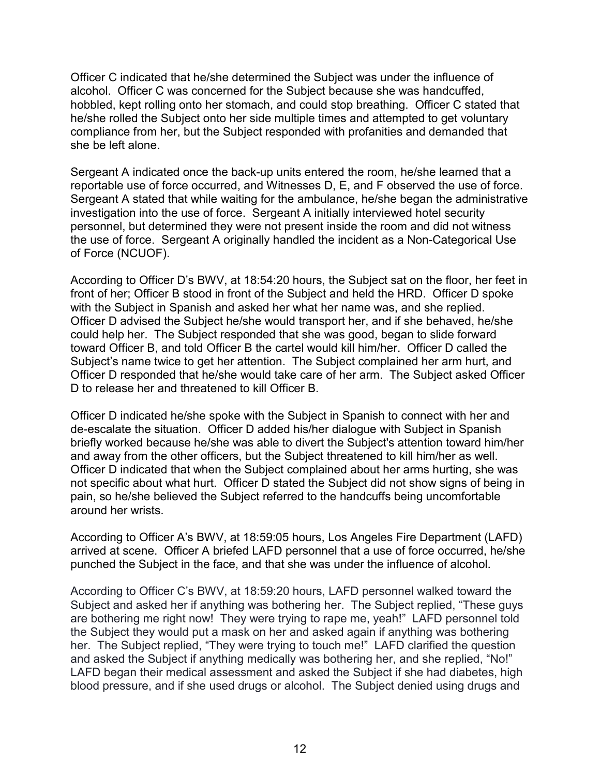Officer C indicated that he/she determined the Subject was under the influence of alcohol. Officer C was concerned for the Subject because she was handcuffed, hobbled, kept rolling onto her stomach, and could stop breathing. Officer C stated that he/she rolled the Subject onto her side multiple times and attempted to get voluntary compliance from her, but the Subject responded with profanities and demanded that she be left alone.

Sergeant A indicated once the back-up units entered the room, he/she learned that a reportable use of force occurred, and Witnesses D, E, and F observed the use of force. Sergeant A stated that while waiting for the ambulance, he/she began the administrative investigation into the use of force. Sergeant A initially interviewed hotel security personnel, but determined they were not present inside the room and did not witness the use of force. Sergeant A originally handled the incident as a Non-Categorical Use of Force (NCUOF).

According to Officer D's BWV, at 18:54:20 hours, the Subject sat on the floor, her feet in front of her; Officer B stood in front of the Subject and held the HRD. Officer D spoke with the Subject in Spanish and asked her what her name was, and she replied. Officer D advised the Subject he/she would transport her, and if she behaved, he/she could help her. The Subject responded that she was good, began to slide forward toward Officer B, and told Officer B the cartel would kill him/her. Officer D called the Subject's name twice to get her attention. The Subject complained her arm hurt, and Officer D responded that he/she would take care of her arm. The Subject asked Officer D to release her and threatened to kill Officer B.

Officer D indicated he/she spoke with the Subject in Spanish to connect with her and de-escalate the situation. Officer D added his/her dialogue with Subject in Spanish briefly worked because he/she was able to divert the Subject's attention toward him/her and away from the other officers, but the Subject threatened to kill him/her as well. Officer D indicated that when the Subject complained about her arms hurting, she was not specific about what hurt. Officer D stated the Subject did not show signs of being in pain, so he/she believed the Subject referred to the handcuffs being uncomfortable around her wrists.

According to Officer A's BWV, at 18:59:05 hours, Los Angeles Fire Department (LAFD) arrived at scene. Officer A briefed LAFD personnel that a use of force occurred, he/she punched the Subject in the face, and that she was under the influence of alcohol.

According to Officer C's BWV, at 18:59:20 hours, LAFD personnel walked toward the Subject and asked her if anything was bothering her. The Subject replied, "These guys are bothering me right now! They were trying to rape me, yeah!" LAFD personnel told the Subject they would put a mask on her and asked again if anything was bothering her. The Subject replied, "They were trying to touch me!" LAFD clarified the question and asked the Subject if anything medically was bothering her, and she replied, "No!" LAFD began their medical assessment and asked the Subject if she had diabetes, high blood pressure, and if she used drugs or alcohol. The Subject denied using drugs and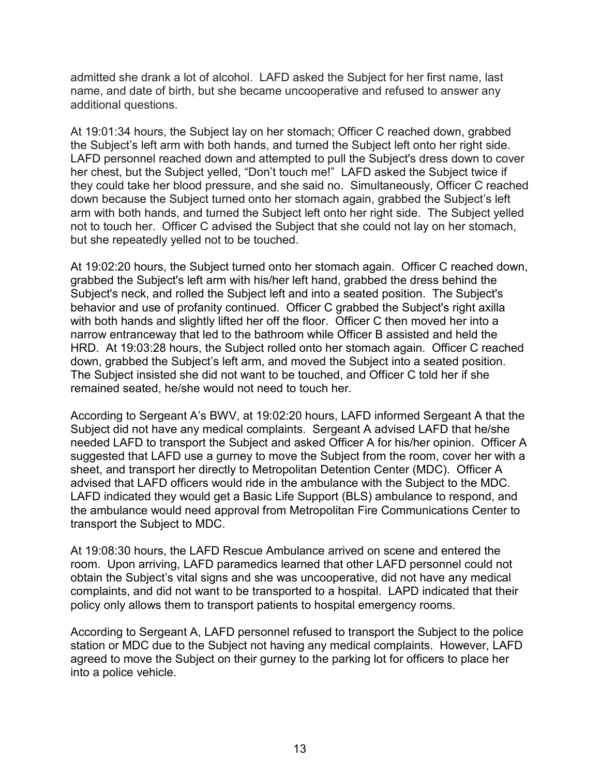admitted she drank a lot of alcohol. LAFD asked the Subject for her first name, last name, and date of birth, but she became uncooperative and refused to answer any additional questions.

At 19:01:34 hours, the Subject lay on her stomach; Officer C reached down, grabbed the Subject's left arm with both hands, and turned the Subject left onto her right side. LAFD personnel reached down and attempted to pull the Subject's dress down to cover her chest, but the Subject yelled, "Don't touch me!"LAFD asked the Subject twice if they could take her blood pressure, and she said no. Simultaneously, Officer C reached down because the Subject turned onto her stomach again, grabbed the Subject's left arm with both hands, and turned the Subject left onto her right side. The Subject yelled not to touch her. Officer C advised the Subject that she could not lay on her stomach, but she repeatedly yelled not to be touched.

At 19:02:20 hours, the Subject turned onto her stomach again. Officer C reached down, grabbed the Subject's left arm with his/her left hand, grabbed the dress behind the Subject's neck, and rolled the Subject left and into a seated position. The Subject's behavior and use of profanity continued. Officer C grabbed the Subject's right axilla with both hands and slightly lifted her off the floor. Officer C then moved her into a narrow entranceway that led to the bathroom while Officer B assisted and held the HRD. At 19:03:28 hours, the Subject rolled onto her stomach again. Officer C reached down, grabbed the Subject's left arm, and moved the Subject into a seated position. The Subject insisted she did not want to be touched, and Officer C told her if she remained seated, he/she would not need to touch her.

According to Sergeant A's BWV, at 19:02:20 hours, LAFD informed Sergeant A that the Subject did not have any medical complaints. Sergeant A advised LAFD that he/she needed LAFD to transport the Subject and asked Officer A for his/her opinion. Officer A suggested that LAFD use a gurney to move the Subject from the room, cover her with a sheet, and transport her directly to Metropolitan Detention Center (MDC). Officer A advised that LAFD officers would ride in the ambulance with the Subject to the MDC. LAFD indicated they would get a Basic Life Support (BLS) ambulance to respond, and the ambulance would need approval from Metropolitan Fire Communications Center to transport the Subject to MDC.

At 19:08:30 hours, the LAFD Rescue Ambulance arrived on scene and entered the room. Upon arriving, LAFD paramedics learned that other LAFD personnel could not obtain the Subject's vital signs and she was uncooperative, did not have any medical complaints, and did not want to be transported to a hospital. LAPD indicated that their policy only allows them to transport patients to hospital emergency rooms.

According to Sergeant A, LAFD personnel refused to transport the Subject to the police station or MDC due to the Subject not having any medical complaints. However, LAFD agreed to move the Subject on their gurney to the parking lot for officers to place her into a police vehicle.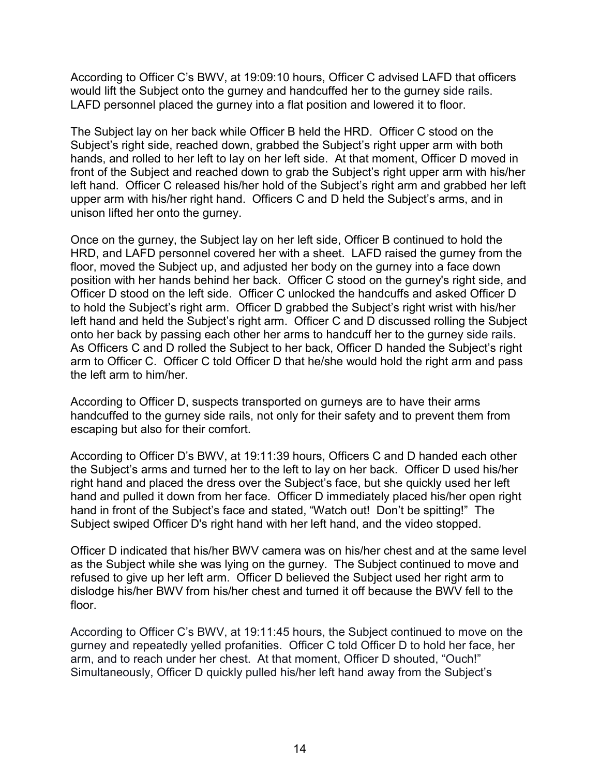According to Officer C's BWV, at 19:09:10 hours, Officer C advised LAFD that officers would lift the Subject onto the gurney and handcuffed her to the gurney side rails. LAFD personnel placed the gurney into a flat position and lowered it to floor.

The Subject lay on her back while Officer B held the HRD. Officer C stood on the Subject's right side, reached down, grabbed the Subject's right upper arm with both hands, and rolled to her left to lay on her left side. At that moment, Officer D moved in front of the Subject and reached down to grab the Subject's right upper arm with his/her left hand. Officer C released his/her hold of the Subject's right arm and grabbed her left upper arm with his/her right hand. Officers C and D held the Subject's arms, and in unison lifted her onto the gurney.

Once on the gurney, the Subject lay on her left side, Officer B continued to hold the HRD, and LAFD personnel covered her with a sheet. LAFD raised the gurney from the floor, moved the Subject up, and adjusted her body on the gurney into a face down position with her hands behind her back. Officer C stood on the gurney's right side, and Officer D stood on the left side. Officer C unlocked the handcuffs and asked Officer D to hold the Subject's right arm. Officer D grabbed the Subject's right wrist with his/her left hand and held the Subject's right arm. Officer C and D discussed rolling the Subject onto her back by passing each other her arms to handcuff her to the gurney side rails. As Officers C and D rolled the Subject to her back, Officer D handed the Subject's right arm to Officer C. Officer C told Officer D that he/she would hold the right arm and pass the left arm to him/her.

According to Officer D, suspects transported on gurneys are to have their arms handcuffed to the gurney side rails, not only for their safety and to prevent them from escaping but also for their comfort.

According to Officer D's BWV, at 19:11:39 hours, Officers C and D handed each other the Subject's arms and turned her to the left to lay on her back. Officer D used his/her right hand and placed the dress over the Subject's face, but she quickly used her left hand and pulled it down from her face. Officer D immediately placed his/her open right hand in front of the Subject's face and stated, "Watch out! Don't be spitting!" The Subject swiped Officer D's right hand with her left hand, and the video stopped.

Officer D indicated that his/her BWV camera was on his/her chest and at the same level as the Subject while she was lying on the gurney. The Subject continued to move and refused to give up her left arm. Officer D believed the Subject used her right arm to dislodge his/her BWV from his/her chest and turned it off because the BWV fell to the floor.

According to Officer C's BWV, at 19:11:45 hours, the Subject continued to move on the gurney and repeatedly yelled profanities. Officer C told Officer D to hold her face, her arm, and to reach under her chest. At that moment, Officer D shouted, "Ouch!" Simultaneously, Officer D quickly pulled his/her left hand away from the Subject's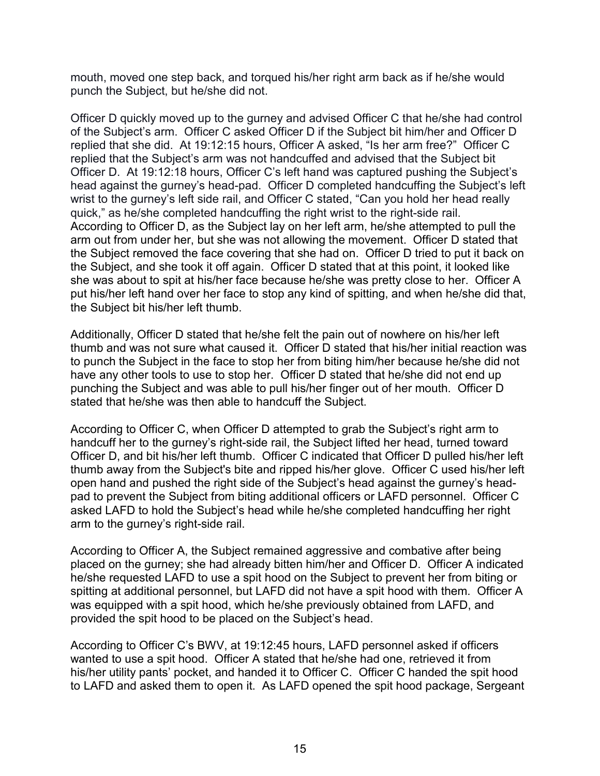mouth, moved one step back, and torqued his/her right arm back as if he/she would punch the Subject, but he/she did not.

Officer D quickly moved up to the gurney and advised Officer C that he/she had control of the Subject's arm. Officer C asked Officer D if the Subject bit him/her and Officer D replied that she did. At 19:12:15 hours, Officer A asked, "Is her arm free?" Officer C replied that the Subject's arm was not handcuffed and advised that the Subject bit Officer D. At 19:12:18 hours, Officer C's left hand was captured pushing the Subject's head against the gurney's head-pad. Officer D completed handcuffing the Subject's left wrist to the gurney's left side rail, and Officer C stated, "Can you hold her head really quick," as he/she completed handcuffing the right wrist to the right-side rail. According to Officer D, as the Subject lay on her left arm, he/she attempted to pull the arm out from under her, but she was not allowing the movement. Officer D stated that the Subject removed the face covering that she had on. Officer D tried to put it back on the Subject, and she took it off again. Officer D stated that at this point, it looked like she was about to spit at his/her face because he/she was pretty close to her. Officer A put his/her left hand over her face to stop any kind of spitting, and when he/she did that, the Subject bit his/her left thumb.

Additionally, Officer D stated that he/she felt the pain out of nowhere on his/her left thumb and was not sure what caused it. Officer D stated that his/her initial reaction was to punch the Subject in the face to stop her from biting him/her because he/she did not have any other tools to use to stop her. Officer D stated that he/she did not end up punching the Subject and was able to pull his/her finger out of her mouth. Officer D stated that he/she was then able to handcuff the Subject.

According to Officer C, when Officer D attempted to grab the Subject's right arm to handcuff her to the gurney's right-side rail, the Subject lifted her head, turned toward Officer D, and bit his/her left thumb. Officer C indicated that Officer D pulled his/her left thumb away from the Subject's bite and ripped his/her glove. Officer C used his/her left open hand and pushed the right side of the Subject's head against the gurney's headpad to prevent the Subject from biting additional officers or LAFD personnel. Officer C asked LAFD to hold the Subject's head while he/she completed handcuffing her right arm to the gurney's right-side rail.

According to Officer A, the Subject remained aggressive and combative after being placed on the gurney; she had already bitten him/her and Officer D. Officer A indicated he/she requested LAFD to use a spit hood on the Subject to prevent her from biting or spitting at additional personnel, but LAFD did not have a spit hood with them. Officer A was equipped with a spit hood, which he/she previously obtained from LAFD, and provided the spit hood to be placed on the Subject's head.

According to Officer C's BWV, at 19:12:45 hours, LAFD personnel asked if officers wanted to use a spit hood. Officer A stated that he/she had one, retrieved it from his/her utility pants' pocket, and handed it to Officer C. Officer C handed the spit hood to LAFD and asked them to open it. As LAFD opened the spit hood package, Sergeant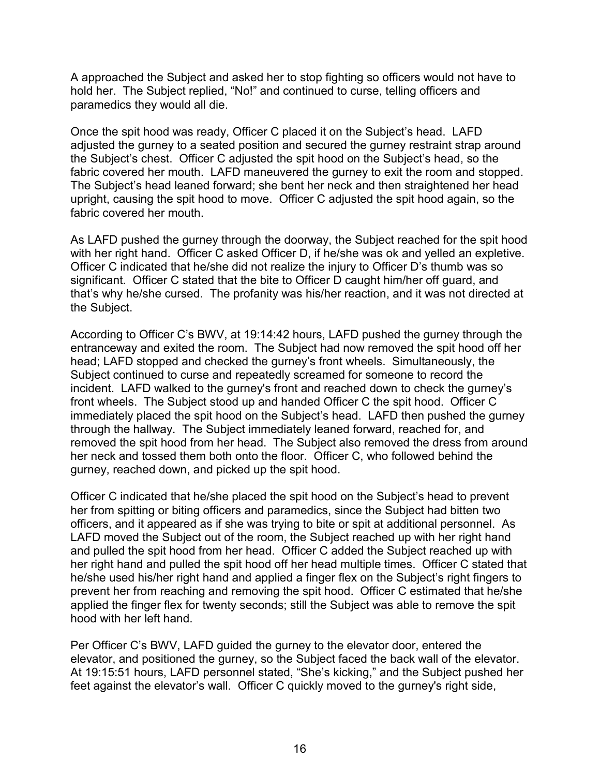A approached the Subject and asked her to stop fighting so officers would not have to hold her. The Subject replied, "No!" and continued to curse, telling officers and paramedics they would all die.

Once the spit hood was ready, Officer C placed it on the Subject's head. LAFD adjusted the gurney to a seated position and secured the gurney restraint strap around the Subject's chest. Officer C adjusted the spit hood on the Subject's head, so the fabric covered her mouth. LAFD maneuvered the gurney to exit the room and stopped. The Subject's head leaned forward; she bent her neck and then straightened her head upright, causing the spit hood to move. Officer C adjusted the spit hood again, so the fabric covered her mouth.

As LAFD pushed the gurney through the doorway, the Subject reached for the spit hood with her right hand. Officer C asked Officer D, if he/she was ok and yelled an expletive. Officer C indicated that he/she did not realize the injury to Officer D's thumb was so significant. Officer C stated that the bite to Officer D caught him/her off guard, and that's why he/she cursed. The profanity was his/her reaction, and it was not directed at the Subject.

According to Officer C's BWV, at 19:14:42 hours, LAFD pushed the gurney through the entranceway and exited the room. The Subject had now removed the spit hood off her head; LAFD stopped and checked the gurney's front wheels. Simultaneously, the Subject continued to curse and repeatedly screamed for someone to record the incident. LAFD walked to the gurney's front and reached down to check the gurney's front wheels. The Subject stood up and handed Officer C the spit hood. Officer C immediately placed the spit hood on the Subject's head. LAFD then pushed the gurney through the hallway. The Subject immediately leaned forward, reached for, and removed the spit hood from her head. The Subject also removed the dress from around her neck and tossed them both onto the floor. Officer C, who followed behind the gurney, reached down, and picked up the spit hood.

Officer C indicated that he/she placed the spit hood on the Subject's head to prevent her from spitting or biting officers and paramedics, since the Subject had bitten two officers, and it appeared as if she was trying to bite or spit at additional personnel. As LAFD moved the Subject out of the room, the Subject reached up with her right hand and pulled the spit hood from her head. Officer C added the Subject reached up with her right hand and pulled the spit hood off her head multiple times. Officer C stated that he/she used his/her right hand and applied a finger flex on the Subject's right fingers to prevent her from reaching and removing the spit hood. Officer C estimated that he/she applied the finger flex for twenty seconds; still the Subject was able to remove the spit hood with her left hand.

Per Officer C's BWV, LAFD guided the gurney to the elevator door, entered the elevator, and positioned the gurney, so the Subject faced the back wall of the elevator. At 19:15:51 hours, LAFD personnel stated, "She's kicking," and the Subject pushed her feet against the elevator's wall. Officer C quickly moved to the gurney's right side,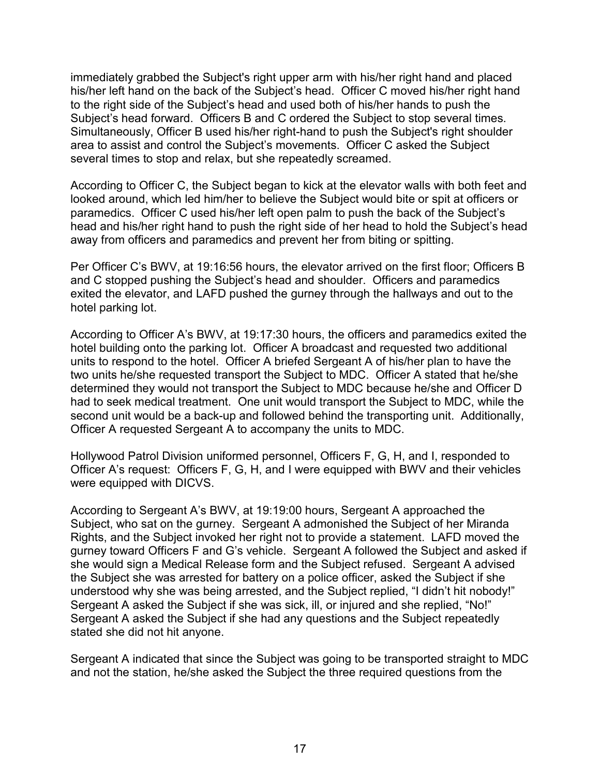immediately grabbed the Subject's right upper arm with his/her right hand and placed his/her left hand on the back of the Subject's head. Officer C moved his/her right hand to the right side of the Subject's head and used both of his/her hands to push the Subject's head forward. Officers B and C ordered the Subject to stop several times. Simultaneously, Officer B used his/her right-hand to push the Subject's right shoulder area to assist and control the Subject's movements. Officer C asked the Subject several times to stop and relax, but she repeatedly screamed.

According to Officer C, the Subject began to kick at the elevator walls with both feet and looked around, which led him/her to believe the Subject would bite or spit at officers or paramedics. Officer C used his/her left open palm to push the back of the Subject's head and his/her right hand to push the right side of her head to hold the Subject's head away from officers and paramedics and prevent her from biting or spitting.

Per Officer C's BWV, at 19:16:56 hours, the elevator arrived on the first floor; Officers B and C stopped pushing the Subject's head and shoulder. Officers and paramedics exited the elevator, and LAFD pushed the gurney through the hallways and out to the hotel parking lot.

According to Officer A's BWV, at 19:17:30 hours, the officers and paramedics exited the hotel building onto the parking lot. Officer A broadcast and requested two additional units to respond to the hotel. Officer A briefed Sergeant A of his/her plan to have the two units he/she requested transport the Subject to MDC. Officer A stated that he/she determined they would not transport the Subject to MDC because he/she and Officer D had to seek medical treatment. One unit would transport the Subject to MDC, while the second unit would be a back-up and followed behind the transporting unit. Additionally, Officer A requested Sergeant A to accompany the units to MDC.

Hollywood Patrol Division uniformed personnel, Officers F, G, H, and I, responded to Officer A's request: Officers F, G, H, and I were equipped with BWV and their vehicles were equipped with DICVS.

According to Sergeant A's BWV, at 19:19:00 hours, Sergeant A approached the Subject, who sat on the gurney. Sergeant A admonished the Subject of her Miranda Rights, and the Subject invoked her right not to provide a statement. LAFD moved the gurney toward Officers F and G's vehicle. Sergeant A followed the Subject and asked if she would sign a Medical Release form and the Subject refused. Sergeant A advised the Subject she was arrested for battery on a police officer, asked the Subject if she understood why she was being arrested, and the Subject replied, "I didn't hit nobody!" Sergeant A asked the Subject if she was sick, ill, or injured and she replied, "No!" Sergeant A asked the Subject if she had any questions and the Subject repeatedly stated she did not hit anyone.

Sergeant A indicated that since the Subject was going to be transported straight to MDC and not the station, he/she asked the Subject the three required questions from the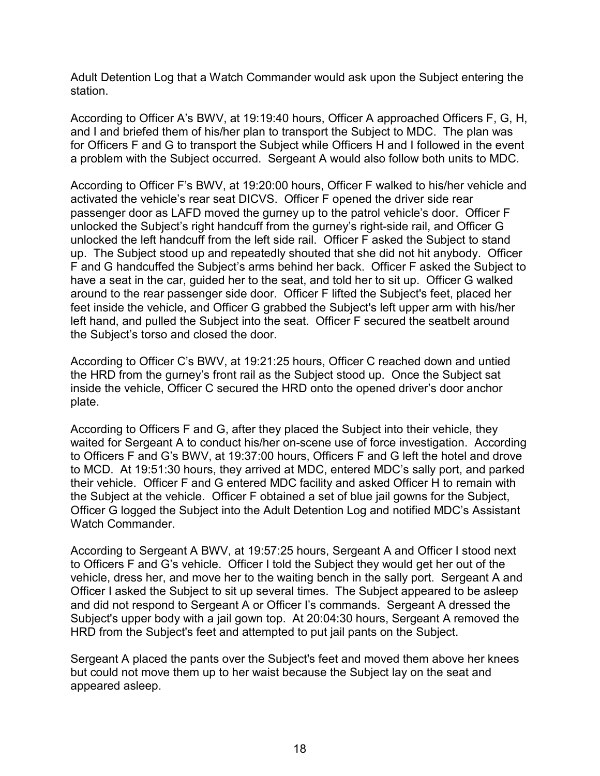Adult Detention Log that a Watch Commander would ask upon the Subject entering the station.

According to Officer A's BWV, at 19:19:40 hours, Officer A approached Officers F, G, H, and I and briefed them of his/her plan to transport the Subject to MDC. The plan was for Officers F and G to transport the Subject while Officers H and I followed in the event a problem with the Subject occurred. Sergeant A would also follow both units to MDC.

According to Officer F's BWV, at 19:20:00 hours, Officer F walked to his/her vehicle and activated the vehicle's rear seat DICVS. Officer F opened the driver side rear passenger door as LAFD moved the gurney up to the patrol vehicle's door. Officer F unlocked the Subject's right handcuff from the gurney's right-side rail, and Officer G unlocked the left handcuff from the left side rail. Officer F asked the Subject to stand up. The Subject stood up and repeatedly shouted that she did not hit anybody. Officer F and G handcuffed the Subject's arms behind her back. Officer F asked the Subject to have a seat in the car, guided her to the seat, and told her to sit up. Officer G walked around to the rear passenger side door. Officer F lifted the Subject's feet, placed her feet inside the vehicle, and Officer G grabbed the Subject's left upper arm with his/her left hand, and pulled the Subject into the seat. Officer F secured the seatbelt around the Subject's torso and closed the door.

According to Officer C's BWV, at 19:21:25 hours, Officer C reached down and untied the HRD from the gurney's front rail as the Subject stood up. Once the Subject sat inside the vehicle, Officer C secured the HRD onto the opened driver's door anchor plate.

According to Officers F and G, after they placed the Subject into their vehicle, they waited for Sergeant A to conduct his/her on-scene use of force investigation. According to Officers F and G's BWV, at 19:37:00 hours, Officers F and G left the hotel and drove to MCD. At 19:51:30 hours, they arrived at MDC, entered MDC's sally port, and parked their vehicle. Officer F and G entered MDC facility and asked Officer H to remain with the Subject at the vehicle. Officer F obtained a set of blue jail gowns for the Subject, Officer G logged the Subject into the Adult Detention Log and notified MDC's Assistant Watch Commander.

According to Sergeant A BWV, at 19:57:25 hours, Sergeant A and Officer I stood next to Officers F and G's vehicle. Officer I told the Subject they would get her out of the vehicle, dress her, and move her to the waiting bench in the sally port. Sergeant A and Officer I asked the Subject to sit up several times. The Subject appeared to be asleep and did not respond to Sergeant A or Officer I's commands. Sergeant A dressed the Subject's upper body with a jail gown top. At 20:04:30 hours, Sergeant A removed the HRD from the Subject's feet and attempted to put jail pants on the Subject.

Sergeant A placed the pants over the Subject's feet and moved them above her knees but could not move them up to her waist because the Subject lay on the seat and appeared asleep.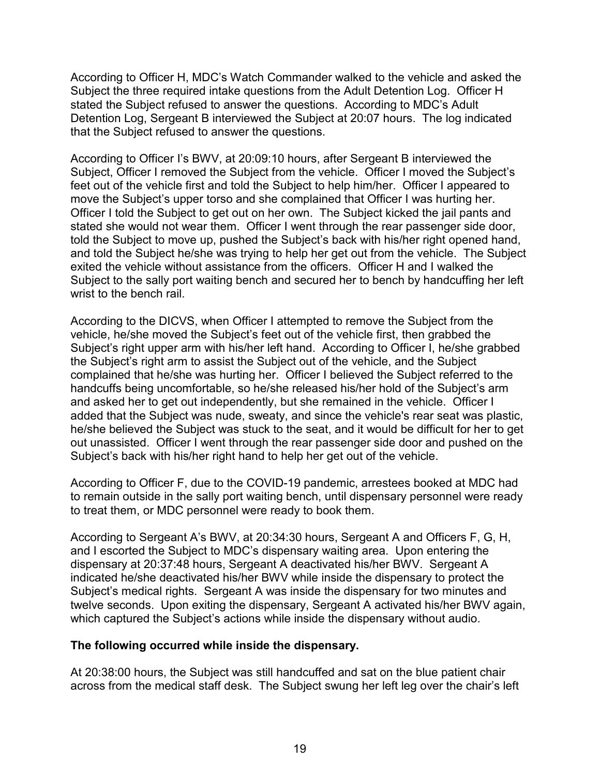According to Officer H, MDC's Watch Commander walked to the vehicle and asked the Subject the three required intake questions from the Adult Detention Log. Officer H stated the Subject refused to answer the questions. According to MDC's Adult Detention Log, Sergeant B interviewed the Subject at 20:07 hours. The log indicated that the Subject refused to answer the questions.

According to Officer I's BWV, at 20:09:10 hours, after Sergeant B interviewed the Subject, Officer I removed the Subject from the vehicle. Officer I moved the Subject's feet out of the vehicle first and told the Subject to help him/her. Officer I appeared to move the Subject's upper torso and she complained that Officer I was hurting her. Officer I told the Subject to get out on her own. The Subject kicked the jail pants and stated she would not wear them. Officer I went through the rear passenger side door, told the Subject to move up, pushed the Subject's back with his/her right opened hand, and told the Subject he/she was trying to help her get out from the vehicle. The Subject exited the vehicle without assistance from the officers. Officer H and I walked the Subject to the sally port waiting bench and secured her to bench by handcuffing her left wrist to the bench rail.

According to the DICVS, when Officer I attempted to remove the Subject from the vehicle, he/she moved the Subject's feet out of the vehicle first, then grabbed the Subject's right upper arm with his/her left hand. According to Officer I, he/she grabbed the Subject's right arm to assist the Subject out of the vehicle, and the Subject complained that he/she was hurting her. Officer I believed the Subject referred to the handcuffs being uncomfortable, so he/she released his/her hold of the Subject's arm and asked her to get out independently, but she remained in the vehicle. Officer I added that the Subject was nude, sweaty, and since the vehicle's rear seat was plastic, he/she believed the Subject was stuck to the seat, and it would be difficult for her to get out unassisted. Officer I went through the rear passenger side door and pushed on the Subject's back with his/her right hand to help her get out of the vehicle.

According to Officer F, due to the COVID-19 pandemic, arrestees booked at MDC had to remain outside in the sally port waiting bench, until dispensary personnel were ready to treat them, or MDC personnel were ready to book them.

According to Sergeant A's BWV, at 20:34:30 hours, Sergeant A and Officers F, G, H, and I escorted the Subject to MDC's dispensary waiting area. Upon entering the dispensary at 20:37:48 hours, Sergeant A deactivated his/her BWV. Sergeant A indicated he/she deactivated his/her BWV while inside the dispensary to protect the Subject's medical rights. Sergeant A was inside the dispensary for two minutes and twelve seconds. Upon exiting the dispensary, Sergeant A activated his/her BWV again, which captured the Subject's actions while inside the dispensary without audio.

### **The following occurred while inside the dispensary.**

At 20:38:00 hours, the Subject was still handcuffed and sat on the blue patient chair across from the medical staff desk. The Subject swung her left leg over the chair's left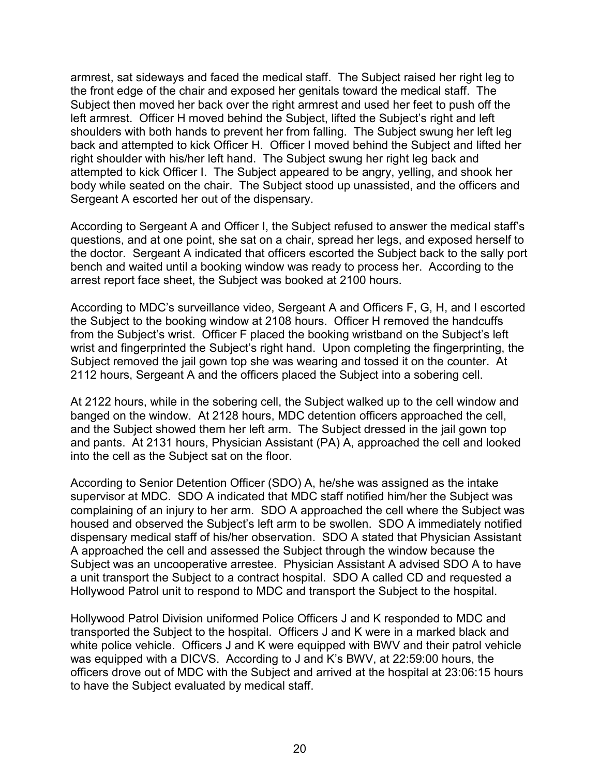armrest, sat sideways and faced the medical staff. The Subject raised her right leg to the front edge of the chair and exposed her genitals toward the medical staff. The Subject then moved her back over the right armrest and used her feet to push off the left armrest. Officer H moved behind the Subject, lifted the Subject's right and left shoulders with both hands to prevent her from falling. The Subject swung her left leg back and attempted to kick Officer H. Officer I moved behind the Subject and lifted her right shoulder with his/her left hand. The Subject swung her right leg back and attempted to kick Officer I. The Subject appeared to be angry, yelling, and shook her body while seated on the chair. The Subject stood up unassisted, and the officers and Sergeant A escorted her out of the dispensary.

According to Sergeant A and Officer I, the Subject refused to answer the medical staff's questions, and at one point, she sat on a chair, spread her legs, and exposed herself to the doctor. Sergeant A indicated that officers escorted the Subject back to the sally port bench and waited until a booking window was ready to process her. According to the arrest report face sheet, the Subject was booked at 2100 hours.

According to MDC's surveillance video, Sergeant A and Officers F, G, H, and I escorted the Subject to the booking window at 2108 hours. Officer H removed the handcuffs from the Subject's wrist. Officer F placed the booking wristband on the Subject's left wrist and fingerprinted the Subject's right hand. Upon completing the fingerprinting, the Subject removed the jail gown top she was wearing and tossed it on the counter. At 2112 hours, Sergeant A and the officers placed the Subject into a sobering cell.

At 2122 hours, while in the sobering cell, the Subject walked up to the cell window and banged on the window. At 2128 hours, MDC detention officers approached the cell, and the Subject showed them her left arm. The Subject dressed in the jail gown top and pants. At 2131 hours, Physician Assistant (PA) A, approached the cell and looked into the cell as the Subject sat on the floor.

According to Senior Detention Officer (SDO) A, he/she was assigned as the intake supervisor at MDC. SDO A indicated that MDC staff notified him/her the Subject was complaining of an injury to her arm. SDO A approached the cell where the Subject was housed and observed the Subject's left arm to be swollen. SDO A immediately notified dispensary medical staff of his/her observation. SDO A stated that Physician Assistant A approached the cell and assessed the Subject through the window because the Subject was an uncooperative arrestee. Physician Assistant A advised SDO A to have a unit transport the Subject to a contract hospital. SDO A called CD and requested a Hollywood Patrol unit to respond to MDC and transport the Subject to the hospital.

Hollywood Patrol Division uniformed Police Officers J and K responded to MDC and transported the Subject to the hospital. Officers J and K were in a marked black and white police vehicle. Officers J and K were equipped with BWV and their patrol vehicle was equipped with a DICVS. According to J and K's BWV, at 22:59:00 hours, the officers drove out of MDC with the Subject and arrived at the hospital at 23:06:15 hours to have the Subject evaluated by medical staff.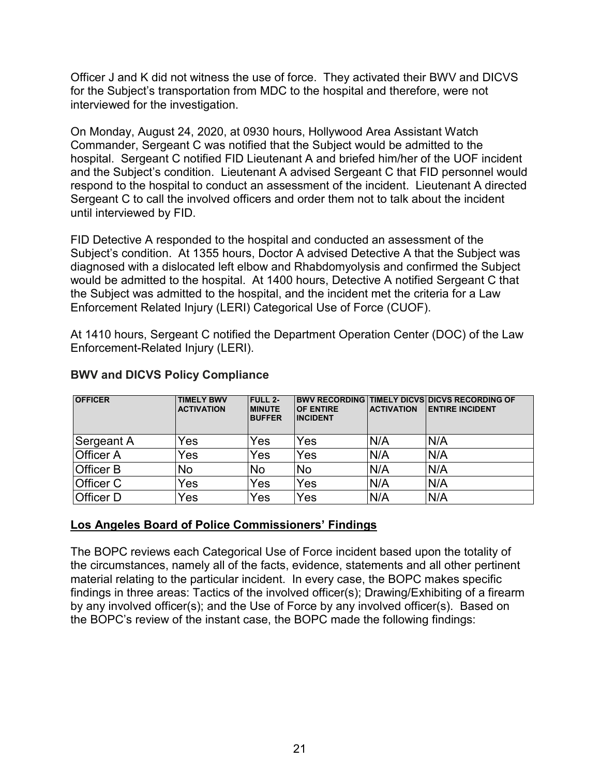Officer J and K did not witness the use of force. They activated their BWV and DICVS for the Subject's transportation from MDC to the hospital and therefore, were not interviewed for the investigation.

On Monday, August 24, 2020, at 0930 hours, Hollywood Area Assistant Watch Commander, Sergeant C was notified that the Subject would be admitted to the hospital. Sergeant C notified FID Lieutenant A and briefed him/her of the UOF incident and the Subject's condition. Lieutenant A advised Sergeant C that FID personnel would respond to the hospital to conduct an assessment of the incident. Lieutenant A directed Sergeant C to call the involved officers and order them not to talk about the incident until interviewed by FID.

FID Detective A responded to the hospital and conducted an assessment of the Subject's condition. At 1355 hours, Doctor A advised Detective A that the Subject was diagnosed with a dislocated left elbow and Rhabdomyolysis and confirmed the Subject would be admitted to the hospital. At 1400 hours, Detective A notified Sergeant C that the Subject was admitted to the hospital, and the incident met the criteria for a Law Enforcement Related Injury (LERI) Categorical Use of Force (CUOF).

At 1410 hours, Sergeant C notified the Department Operation Center (DOC) of the Law Enforcement-Related Injury (LERI).

| <b>OFFICER</b>   | <b>TIMELY BWV</b><br><b>ACTIVATION</b> | <b>FULL 2-</b><br><b>IMINUTE</b><br><b>BUFFER</b> | <b>OF ENTIRE</b><br><b>INCIDENT</b> | <b>ACTIVATION</b> | <b>BWV RECORDING TIMELY DICVS DICVS RECORDING OF</b><br><b>IENTIRE INCIDENT</b> |
|------------------|----------------------------------------|---------------------------------------------------|-------------------------------------|-------------------|---------------------------------------------------------------------------------|
| Sergeant A       | Yes                                    | Yes                                               | Yes                                 | N/A               | N/A                                                                             |
| <b>Officer A</b> | Yes                                    | Yes                                               | Yes                                 | N/A               | N/A                                                                             |
| <b>Officer B</b> | No                                     | No                                                | <b>No</b>                           | N/A               | N/A                                                                             |
| <b>Officer C</b> | Yes                                    | Yes                                               | Yes                                 | N/A               | N/A                                                                             |
| <b>Officer D</b> | Yes                                    | Yes                                               | Yes                                 | N/A               | N/A                                                                             |

## **BWV and DICVS Policy Compliance**

# **Los Angeles Board of Police Commissioners' Findings**

The BOPC reviews each Categorical Use of Force incident based upon the totality of the circumstances, namely all of the facts, evidence, statements and all other pertinent material relating to the particular incident. In every case, the BOPC makes specific findings in three areas: Tactics of the involved officer(s); Drawing/Exhibiting of a firearm by any involved officer(s); and the Use of Force by any involved officer(s). Based on the BOPC's review of the instant case, the BOPC made the following findings: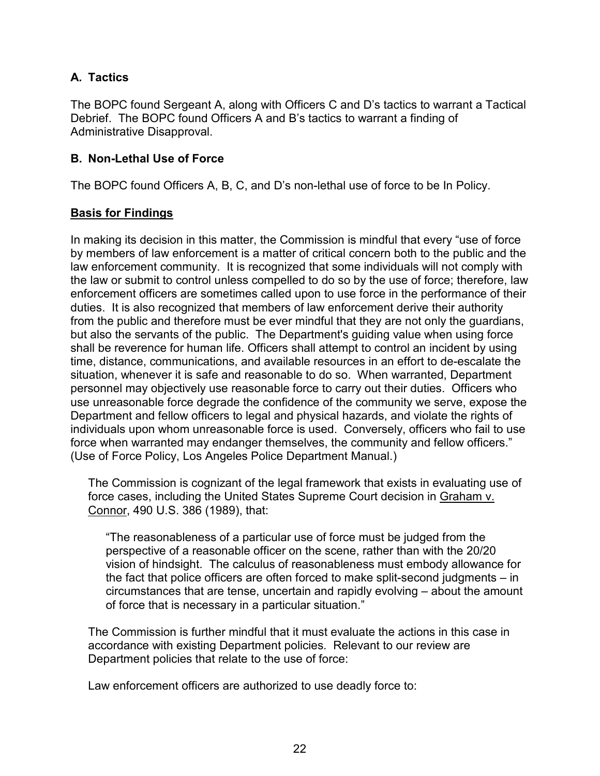# **A. Tactics**

The BOPC found Sergeant A, along with Officers C and D's tactics to warrant a Tactical Debrief. The BOPC found Officers A and B's tactics to warrant a finding of Administrative Disapproval.

# **B. Non-Lethal Use of Force**

The BOPC found Officers A, B, C, and D's non-lethal use of force to be In Policy.

## **Basis for Findings**

In making its decision in this matter, the Commission is mindful that every "use of force by members of law enforcement is a matter of critical concern both to the public and the law enforcement community. It is recognized that some individuals will not comply with the law or submit to control unless compelled to do so by the use of force; therefore, law enforcement officers are sometimes called upon to use force in the performance of their duties. It is also recognized that members of law enforcement derive their authority from the public and therefore must be ever mindful that they are not only the guardians, but also the servants of the public. The Department's guiding value when using force shall be reverence for human life. Officers shall attempt to control an incident by using time, distance, communications, and available resources in an effort to de-escalate the situation, whenever it is safe and reasonable to do so. When warranted, Department personnel may objectively use reasonable force to carry out their duties. Officers who use unreasonable force degrade the confidence of the community we serve, expose the Department and fellow officers to legal and physical hazards, and violate the rights of individuals upon whom unreasonable force is used. Conversely, officers who fail to use force when warranted may endanger themselves, the community and fellow officers." (Use of Force Policy, Los Angeles Police Department Manual.)

The Commission is cognizant of the legal framework that exists in evaluating use of force cases, including the United States Supreme Court decision in Graham v. Connor, 490 U.S. 386 (1989), that:

"The reasonableness of a particular use of force must be judged from the perspective of a reasonable officer on the scene, rather than with the 20/20 vision of hindsight. The calculus of reasonableness must embody allowance for the fact that police officers are often forced to make split-second judgments – in circumstances that are tense, uncertain and rapidly evolving – about the amount of force that is necessary in a particular situation."

The Commission is further mindful that it must evaluate the actions in this case in accordance with existing Department policies. Relevant to our review are Department policies that relate to the use of force:

Law enforcement officers are authorized to use deadly force to: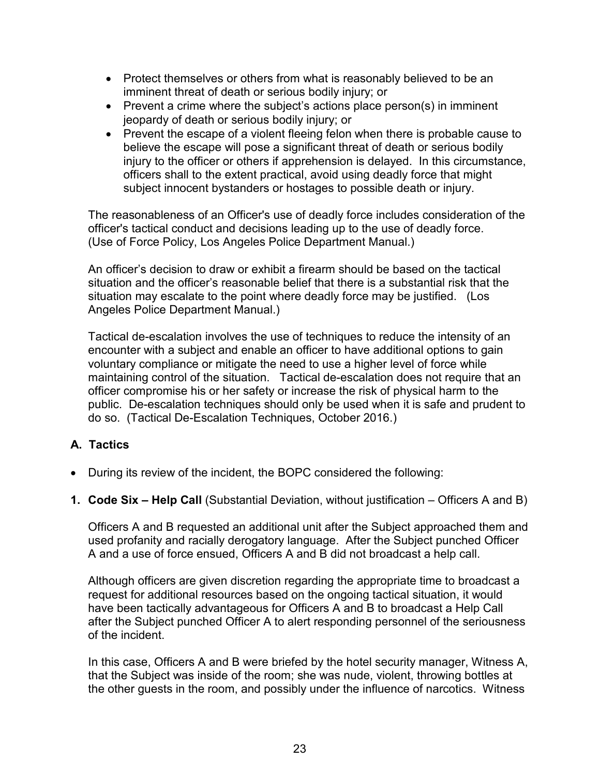- Protect themselves or others from what is reasonably believed to be an imminent threat of death or serious bodily injury; or
- Prevent a crime where the subject's actions place person(s) in imminent jeopardy of death or serious bodily injury; or
- Prevent the escape of a violent fleeing felon when there is probable cause to believe the escape will pose a significant threat of death or serious bodily injury to the officer or others if apprehension is delayed. In this circumstance, officers shall to the extent practical, avoid using deadly force that might subject innocent bystanders or hostages to possible death or injury.

The reasonableness of an Officer's use of deadly force includes consideration of the officer's tactical conduct and decisions leading up to the use of deadly force. (Use of Force Policy, Los Angeles Police Department Manual.)

An officer's decision to draw or exhibit a firearm should be based on the tactical situation and the officer's reasonable belief that there is a substantial risk that the situation may escalate to the point where deadly force may be justified. (Los Angeles Police Department Manual.)

Tactical de-escalation involves the use of techniques to reduce the intensity of an encounter with a subject and enable an officer to have additional options to gain voluntary compliance or mitigate the need to use a higher level of force while maintaining control of the situation. Tactical de-escalation does not require that an officer compromise his or her safety or increase the risk of physical harm to the public. De-escalation techniques should only be used when it is safe and prudent to do so. (Tactical De-Escalation Techniques, October 2016.)

# **A. Tactics**

- During its review of the incident, the BOPC considered the following:
- **1. Code Six – Help Call** (Substantial Deviation, without justification Officers A and B)

Officers A and B requested an additional unit after the Subject approached them and used profanity and racially derogatory language. After the Subject punched Officer A and a use of force ensued, Officers A and B did not broadcast a help call.

Although officers are given discretion regarding the appropriate time to broadcast a request for additional resources based on the ongoing tactical situation, it would have been tactically advantageous for Officers A and B to broadcast a Help Call after the Subject punched Officer A to alert responding personnel of the seriousness of the incident.

In this case, Officers A and B were briefed by the hotel security manager, Witness A, that the Subject was inside of the room; she was nude, violent, throwing bottles at the other guests in the room, and possibly under the influence of narcotics. Witness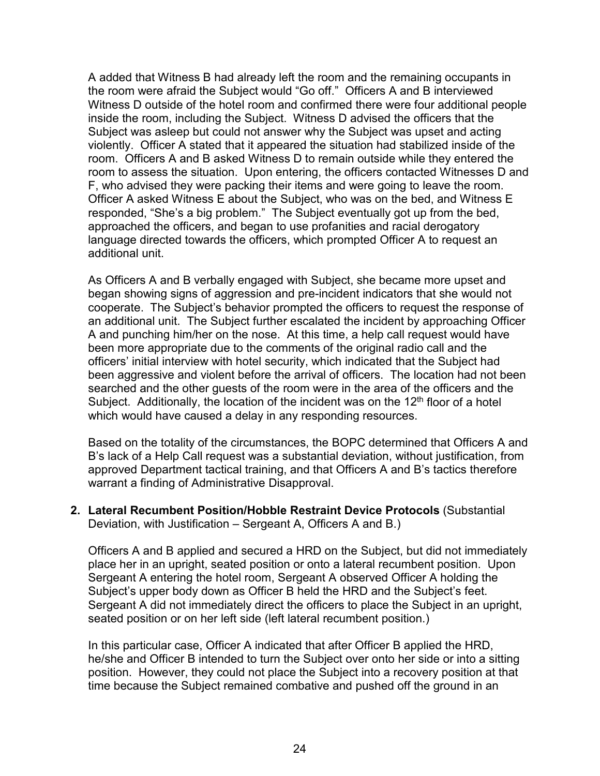A added that Witness B had already left the room and the remaining occupants in the room were afraid the Subject would "Go off." Officers A and B interviewed Witness D outside of the hotel room and confirmed there were four additional people inside the room, including the Subject. Witness D advised the officers that the Subject was asleep but could not answer why the Subject was upset and acting violently. Officer A stated that it appeared the situation had stabilized inside of the room. Officers A and B asked Witness D to remain outside while they entered the room to assess the situation. Upon entering, the officers contacted Witnesses D and F, who advised they were packing their items and were going to leave the room. Officer A asked Witness E about the Subject, who was on the bed, and Witness E responded, "She's a big problem." The Subject eventually got up from the bed, approached the officers, and began to use profanities and racial derogatory language directed towards the officers, which prompted Officer A to request an additional unit.

As Officers A and B verbally engaged with Subject, she became more upset and began showing signs of aggression and pre-incident indicators that she would not cooperate. The Subject's behavior prompted the officers to request the response of an additional unit. The Subject further escalated the incident by approaching Officer A and punching him/her on the nose. At this time, a help call request would have been more appropriate due to the comments of the original radio call and the officers' initial interview with hotel security, which indicated that the Subject had been aggressive and violent before the arrival of officers. The location had not been searched and the other guests of the room were in the area of the officers and the Subject. Additionally, the location of the incident was on the  $12<sup>th</sup>$  floor of a hotel which would have caused a delay in any responding resources.

Based on the totality of the circumstances, the BOPC determined that Officers A and B's lack of a Help Call request was a substantial deviation, without justification, from approved Department tactical training, and that Officers A and B's tactics therefore warrant a finding of Administrative Disapproval.

**2. Lateral Recumbent Position/Hobble Restraint Device Protocols** (Substantial Deviation, with Justification – Sergeant A, Officers A and B.)

Officers A and B applied and secured a HRD on the Subject, but did not immediately place her in an upright, seated position or onto a lateral recumbent position. Upon Sergeant A entering the hotel room, Sergeant A observed Officer A holding the Subject's upper body down as Officer B held the HRD and the Subject's feet. Sergeant A did not immediately direct the officers to place the Subject in an upright, seated position or on her left side (left lateral recumbent position.)

In this particular case, Officer A indicated that after Officer B applied the HRD, he/she and Officer B intended to turn the Subject over onto her side or into a sitting position. However, they could not place the Subject into a recovery position at that time because the Subject remained combative and pushed off the ground in an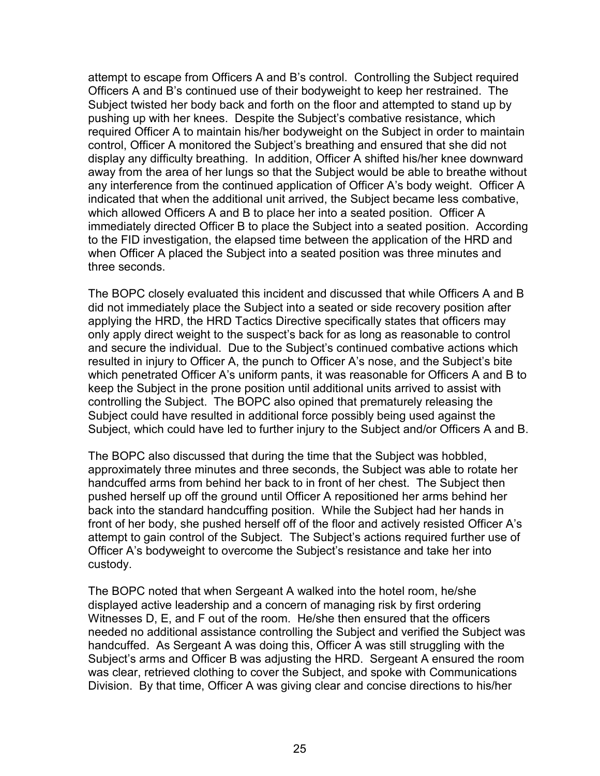attempt to escape from Officers A and B's control. Controlling the Subject required Officers A and B's continued use of their bodyweight to keep her restrained. The Subject twisted her body back and forth on the floor and attempted to stand up by pushing up with her knees. Despite the Subject's combative resistance, which required Officer A to maintain his/her bodyweight on the Subject in order to maintain control, Officer A monitored the Subject's breathing and ensured that she did not display any difficulty breathing. In addition, Officer A shifted his/her knee downward away from the area of her lungs so that the Subject would be able to breathe without any interference from the continued application of Officer A's body weight. Officer A indicated that when the additional unit arrived, the Subject became less combative, which allowed Officers A and B to place her into a seated position. Officer A immediately directed Officer B to place the Subject into a seated position. According to the FID investigation, the elapsed time between the application of the HRD and when Officer A placed the Subject into a seated position was three minutes and three seconds.

The BOPC closely evaluated this incident and discussed that while Officers A and B did not immediately place the Subject into a seated or side recovery position after applying the HRD, the HRD Tactics Directive specifically states that officers may only apply direct weight to the suspect's back for as long as reasonable to control and secure the individual. Due to the Subject's continued combative actions which resulted in injury to Officer A, the punch to Officer A's nose, and the Subject's bite which penetrated Officer A's uniform pants, it was reasonable for Officers A and B to keep the Subject in the prone position until additional units arrived to assist with controlling the Subject. The BOPC also opined that prematurely releasing the Subject could have resulted in additional force possibly being used against the Subject, which could have led to further injury to the Subject and/or Officers A and B.

The BOPC also discussed that during the time that the Subject was hobbled, approximately three minutes and three seconds, the Subject was able to rotate her handcuffed arms from behind her back to in front of her chest. The Subject then pushed herself up off the ground until Officer A repositioned her arms behind her back into the standard handcuffing position. While the Subject had her hands in front of her body, she pushed herself off of the floor and actively resisted Officer A's attempt to gain control of the Subject. The Subject's actions required further use of Officer A's bodyweight to overcome the Subject's resistance and take her into custody.

The BOPC noted that when Sergeant A walked into the hotel room, he/she displayed active leadership and a concern of managing risk by first ordering Witnesses D, E, and F out of the room. He/she then ensured that the officers needed no additional assistance controlling the Subject and verified the Subject was handcuffed. As Sergeant A was doing this, Officer A was still struggling with the Subject's arms and Officer B was adjusting the HRD. Sergeant A ensured the room was clear, retrieved clothing to cover the Subject, and spoke with Communications Division. By that time, Officer A was giving clear and concise directions to his/her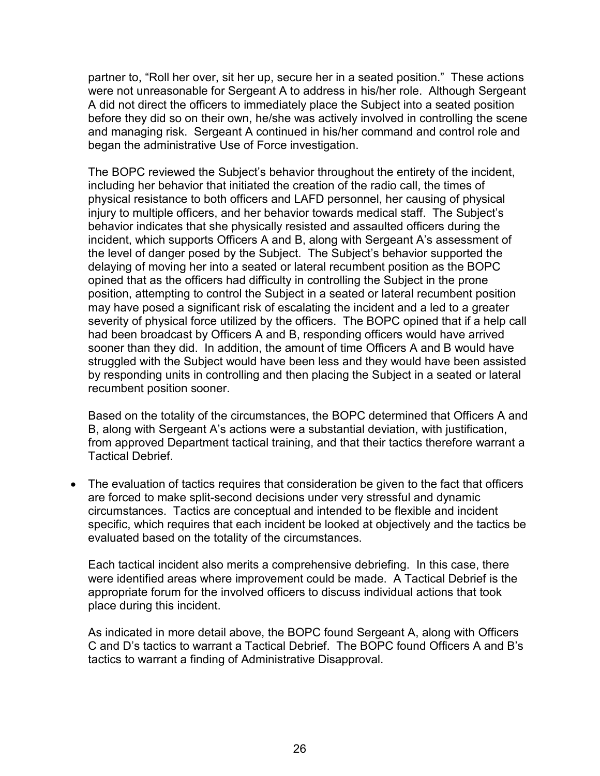partner to, "Roll her over, sit her up, secure her in a seated position." These actions were not unreasonable for Sergeant A to address in his/her role. Although Sergeant A did not direct the officers to immediately place the Subject into a seated position before they did so on their own, he/she was actively involved in controlling the scene and managing risk. Sergeant A continued in his/her command and control role and began the administrative Use of Force investigation.

The BOPC reviewed the Subject's behavior throughout the entirety of the incident, including her behavior that initiated the creation of the radio call, the times of physical resistance to both officers and LAFD personnel, her causing of physical injury to multiple officers, and her behavior towards medical staff. The Subject's behavior indicates that she physically resisted and assaulted officers during the incident, which supports Officers A and B, along with Sergeant A's assessment of the level of danger posed by the Subject. The Subject's behavior supported the delaying of moving her into a seated or lateral recumbent position as the BOPC opined that as the officers had difficulty in controlling the Subject in the prone position, attempting to control the Subject in a seated or lateral recumbent position may have posed a significant risk of escalating the incident and a led to a greater severity of physical force utilized by the officers. The BOPC opined that if a help call had been broadcast by Officers A and B, responding officers would have arrived sooner than they did. In addition, the amount of time Officers A and B would have struggled with the Subject would have been less and they would have been assisted by responding units in controlling and then placing the Subject in a seated or lateral recumbent position sooner.

Based on the totality of the circumstances, the BOPC determined that Officers A and B, along with Sergeant A's actions were a substantial deviation, with justification, from approved Department tactical training, and that their tactics therefore warrant a Tactical Debrief.

• The evaluation of tactics requires that consideration be given to the fact that officers are forced to make split-second decisions under very stressful and dynamic circumstances. Tactics are conceptual and intended to be flexible and incident specific, which requires that each incident be looked at objectively and the tactics be evaluated based on the totality of the circumstances.

Each tactical incident also merits a comprehensive debriefing. In this case, there were identified areas where improvement could be made. A Tactical Debrief is the appropriate forum for the involved officers to discuss individual actions that took place during this incident.

As indicated in more detail above, the BOPC found Sergeant A, along with Officers C and D's tactics to warrant a Tactical Debrief. The BOPC found Officers A and B's tactics to warrant a finding of Administrative Disapproval.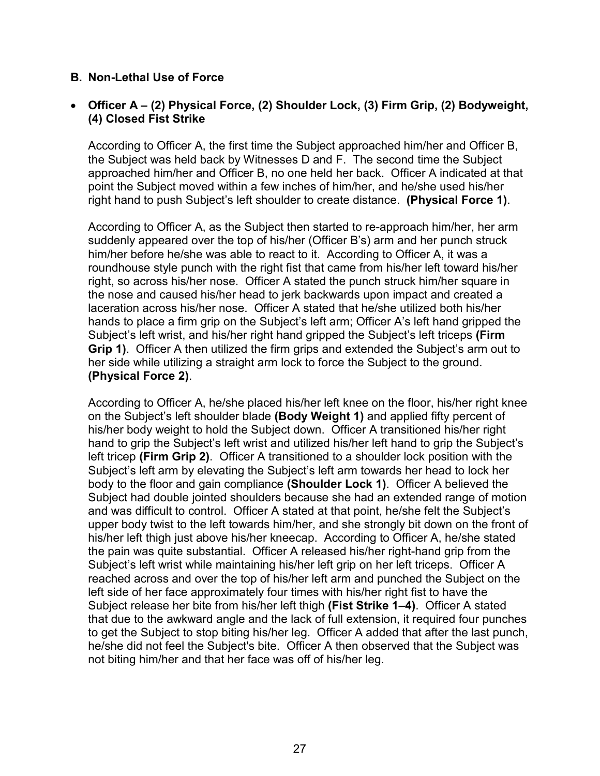### **B. Non-Lethal Use of Force**

### • **Officer A – (2) Physical Force, (2) Shoulder Lock, (3) Firm Grip, (2) Bodyweight, (4) Closed Fist Strike**

According to Officer A, the first time the Subject approached him/her and Officer B, the Subject was held back by Witnesses D and F. The second time the Subject approached him/her and Officer B, no one held her back. Officer A indicated at that point the Subject moved within a few inches of him/her, and he/she used his/her right hand to push Subject's left shoulder to create distance. **(Physical Force 1)**.

According to Officer A, as the Subject then started to re-approach him/her, her arm suddenly appeared over the top of his/her (Officer B's) arm and her punch struck him/her before he/she was able to react to it. According to Officer A, it was a roundhouse style punch with the right fist that came from his/her left toward his/her right, so across his/her nose. Officer A stated the punch struck him/her square in the nose and caused his/her head to jerk backwards upon impact and created a laceration across his/her nose. Officer A stated that he/she utilized both his/her hands to place a firm grip on the Subject's left arm; Officer A's left hand gripped the Subject's left wrist, and his/her right hand gripped the Subject's left triceps **(Firm Grip 1)**. Officer A then utilized the firm grips and extended the Subject's arm out to her side while utilizing a straight arm lock to force the Subject to the ground. **(Physical Force 2)**.

According to Officer A, he/she placed his/her left knee on the floor, his/her right knee on the Subject's left shoulder blade **(Body Weight 1)** and applied fifty percent of his/her body weight to hold the Subject down. Officer A transitioned his/her right hand to grip the Subject's left wrist and utilized his/her left hand to grip the Subject's left tricep **(Firm Grip 2)**. Officer A transitioned to a shoulder lock position with the Subject's left arm by elevating the Subject's left arm towards her head to lock her body to the floor and gain compliance **(Shoulder Lock 1)**. Officer A believed the Subject had double jointed shoulders because she had an extended range of motion and was difficult to control. Officer A stated at that point, he/she felt the Subject's upper body twist to the left towards him/her, and she strongly bit down on the front of his/her left thigh just above his/her kneecap. According to Officer A, he/she stated the pain was quite substantial. Officer A released his/her right-hand grip from the Subject's left wrist while maintaining his/her left grip on her left triceps. Officer A reached across and over the top of his/her left arm and punched the Subject on the left side of her face approximately four times with his/her right fist to have the Subject release her bite from his/her left thigh **(Fist Strike 1–4)**. Officer A stated that due to the awkward angle and the lack of full extension, it required four punches to get the Subject to stop biting his/her leg. Officer A added that after the last punch, he/she did not feel the Subject's bite. Officer A then observed that the Subject was not biting him/her and that her face was off of his/her leg.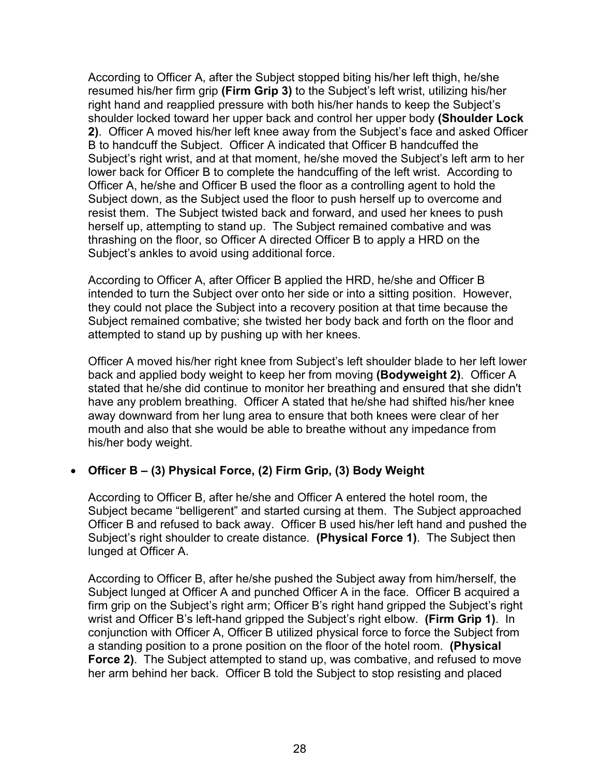According to Officer A, after the Subject stopped biting his/her left thigh, he/she resumed his/her firm grip **(Firm Grip 3)** to the Subject's left wrist, utilizing his/her right hand and reapplied pressure with both his/her hands to keep the Subject's shoulder locked toward her upper back and control her upper body **(Shoulder Lock 2)**. Officer A moved his/her left knee away from the Subject's face and asked Officer B to handcuff the Subject. Officer A indicated that Officer B handcuffed the Subject's right wrist, and at that moment, he/she moved the Subject's left arm to her lower back for Officer B to complete the handcuffing of the left wrist. According to Officer A, he/she and Officer B used the floor as a controlling agent to hold the Subject down, as the Subject used the floor to push herself up to overcome and resist them. The Subject twisted back and forward, and used her knees to push herself up, attempting to stand up. The Subject remained combative and was thrashing on the floor, so Officer A directed Officer B to apply a HRD on the Subject's ankles to avoid using additional force.

According to Officer A, after Officer B applied the HRD, he/she and Officer B intended to turn the Subject over onto her side or into a sitting position. However, they could not place the Subject into a recovery position at that time because the Subject remained combative; she twisted her body back and forth on the floor and attempted to stand up by pushing up with her knees.

Officer A moved his/her right knee from Subject's left shoulder blade to her left lower back and applied body weight to keep her from moving **(Bodyweight 2)**. Officer A stated that he/she did continue to monitor her breathing and ensured that she didn't have any problem breathing. Officer A stated that he/she had shifted his/her knee away downward from her lung area to ensure that both knees were clear of her mouth and also that she would be able to breathe without any impedance from his/her body weight.

# • **Officer B – (3) Physical Force, (2) Firm Grip, (3) Body Weight**

According to Officer B, after he/she and Officer A entered the hotel room, the Subject became "belligerent" and started cursing at them. The Subject approached Officer B and refused to back away. Officer B used his/her left hand and pushed the Subject's right shoulder to create distance. **(Physical Force 1)**. The Subject then lunged at Officer A.

According to Officer B, after he/she pushed the Subject away from him/herself, the Subject lunged at Officer A and punched Officer A in the face. Officer B acquired a firm grip on the Subject's right arm; Officer B's right hand gripped the Subject's right wrist and Officer B's left-hand gripped the Subject's right elbow. **(Firm Grip 1)**. In conjunction with Officer A, Officer B utilized physical force to force the Subject from a standing position to a prone position on the floor of the hotel room. **(Physical Force 2)**. The Subject attempted to stand up, was combative, and refused to move her arm behind her back. Officer B told the Subject to stop resisting and placed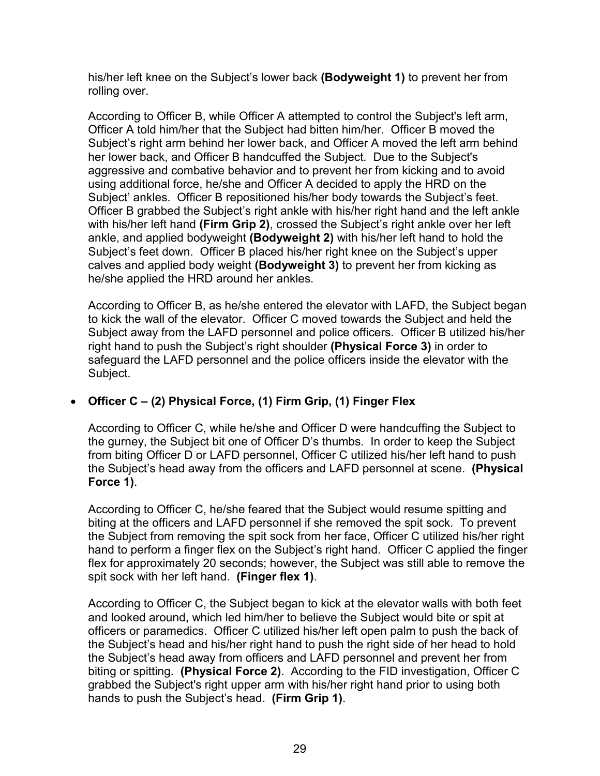his/her left knee on the Subject's lower back **(Bodyweight 1)** to prevent her from rolling over.

According to Officer B, while Officer A attempted to control the Subject's left arm, Officer A told him/her that the Subject had bitten him/her. Officer B moved the Subject's right arm behind her lower back, and Officer A moved the left arm behind her lower back, and Officer B handcuffed the Subject. Due to the Subject's aggressive and combative behavior and to prevent her from kicking and to avoid using additional force, he/she and Officer A decided to apply the HRD on the Subject' ankles. Officer B repositioned his/her body towards the Subject's feet. Officer B grabbed the Subject's right ankle with his/her right hand and the left ankle with his/her left hand **(Firm Grip 2)**, crossed the Subject's right ankle over her left ankle, and applied bodyweight **(Bodyweight 2)** with his/her left hand to hold the Subject's feet down. Officer B placed his/her right knee on the Subject's upper calves and applied body weight **(Bodyweight 3)** to prevent her from kicking as he/she applied the HRD around her ankles.

According to Officer B, as he/she entered the elevator with LAFD, the Subject began to kick the wall of the elevator. Officer C moved towards the Subject and held the Subject away from the LAFD personnel and police officers. Officer B utilized his/her right hand to push the Subject's right shoulder **(Physical Force 3)** in order to safeguard the LAFD personnel and the police officers inside the elevator with the Subject.

# • **Officer C – (2) Physical Force, (1) Firm Grip, (1) Finger Flex**

According to Officer C, while he/she and Officer D were handcuffing the Subject to the gurney, the Subject bit one of Officer D's thumbs. In order to keep the Subject from biting Officer D or LAFD personnel, Officer C utilized his/her left hand to push the Subject's head away from the officers and LAFD personnel at scene. **(Physical Force 1)**.

According to Officer C, he/she feared that the Subject would resume spitting and biting at the officers and LAFD personnel if she removed the spit sock. To prevent the Subject from removing the spit sock from her face, Officer C utilized his/her right hand to perform a finger flex on the Subject's right hand. Officer C applied the finger flex for approximately 20 seconds; however, the Subject was still able to remove the spit sock with her left hand. **(Finger flex 1)**.

According to Officer C, the Subject began to kick at the elevator walls with both feet and looked around, which led him/her to believe the Subject would bite or spit at officers or paramedics. Officer C utilized his/her left open palm to push the back of the Subject's head and his/her right hand to push the right side of her head to hold the Subject's head away from officers and LAFD personnel and prevent her from biting or spitting. **(Physical Force 2)**. According to the FID investigation, Officer C grabbed the Subject's right upper arm with his/her right hand prior to using both hands to push the Subject's head. **(Firm Grip 1)**.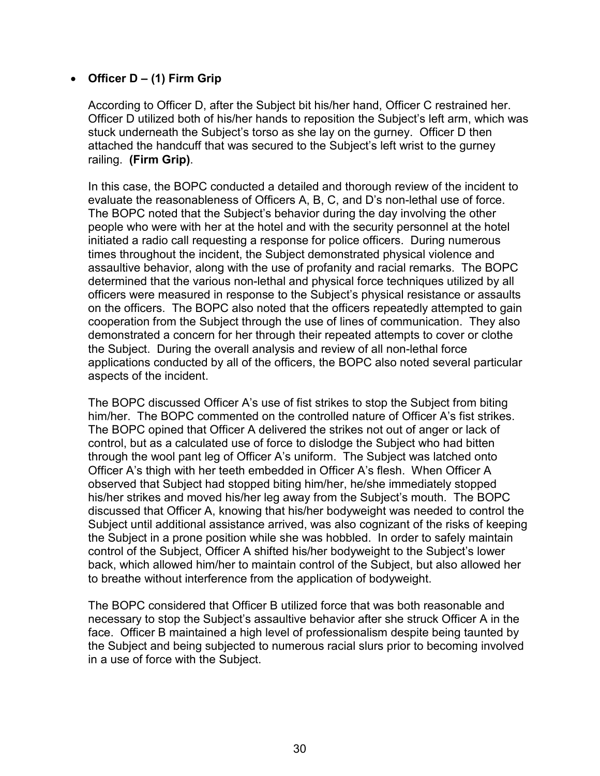## • **Officer D – (1) Firm Grip**

According to Officer D, after the Subject bit his/her hand, Officer C restrained her. Officer D utilized both of his/her hands to reposition the Subject's left arm, which was stuck underneath the Subject's torso as she lay on the gurney. Officer D then attached the handcuff that was secured to the Subject's left wrist to the gurney railing. **(Firm Grip)**.

In this case, the BOPC conducted a detailed and thorough review of the incident to evaluate the reasonableness of Officers A, B, C, and D's non-lethal use of force. The BOPC noted that the Subject's behavior during the day involving the other people who were with her at the hotel and with the security personnel at the hotel initiated a radio call requesting a response for police officers. During numerous times throughout the incident, the Subject demonstrated physical violence and assaultive behavior, along with the use of profanity and racial remarks. The BOPC determined that the various non-lethal and physical force techniques utilized by all officers were measured in response to the Subject's physical resistance or assaults on the officers. The BOPC also noted that the officers repeatedly attempted to gain cooperation from the Subject through the use of lines of communication. They also demonstrated a concern for her through their repeated attempts to cover or clothe the Subject. During the overall analysis and review of all non-lethal force applications conducted by all of the officers, the BOPC also noted several particular aspects of the incident.

The BOPC discussed Officer A's use of fist strikes to stop the Subject from biting him/her. The BOPC commented on the controlled nature of Officer A's fist strikes. The BOPC opined that Officer A delivered the strikes not out of anger or lack of control, but as a calculated use of force to dislodge the Subject who had bitten through the wool pant leg of Officer A's uniform. The Subject was latched onto Officer A's thigh with her teeth embedded in Officer A's flesh. When Officer A observed that Subject had stopped biting him/her, he/she immediately stopped his/her strikes and moved his/her leg away from the Subject's mouth. The BOPC discussed that Officer A, knowing that his/her bodyweight was needed to control the Subject until additional assistance arrived, was also cognizant of the risks of keeping the Subject in a prone position while she was hobbled. In order to safely maintain control of the Subject, Officer A shifted his/her bodyweight to the Subject's lower back, which allowed him/her to maintain control of the Subject, but also allowed her to breathe without interference from the application of bodyweight.

The BOPC considered that Officer B utilized force that was both reasonable and necessary to stop the Subject's assaultive behavior after she struck Officer A in the face. Officer B maintained a high level of professionalism despite being taunted by the Subject and being subjected to numerous racial slurs prior to becoming involved in a use of force with the Subject.